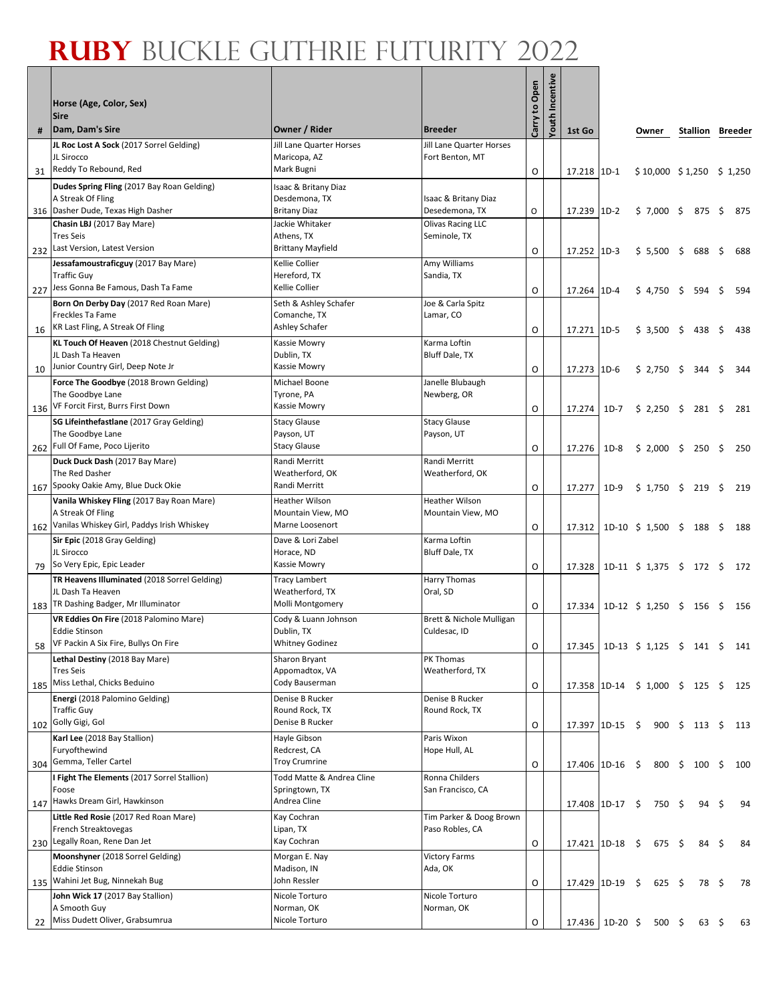Г

|     | Horse (Age, Color, Sex)<br>Sire                                                                              |                                                                     |                                             | Carry to Open | Youth Incentive |                               |                               |         |                |      |                           |            |
|-----|--------------------------------------------------------------------------------------------------------------|---------------------------------------------------------------------|---------------------------------------------|---------------|-----------------|-------------------------------|-------------------------------|---------|----------------|------|---------------------------|------------|
|     | Dam, Dam's Sire                                                                                              | Owner / Rider                                                       | <b>Breeder</b>                              |               |                 | 1st Go                        |                               | Owner   |                |      | Stallion Breeder          |            |
| 31  | JL Roc Lost A Sock (2017 Sorrel Gelding)<br>JL Sirocco<br>Reddy To Rebound, Red                              | Jill Lane Quarter Horses<br>Maricopa, AZ<br>Mark Bugni              | Jill Lane Quarter Horses<br>Fort Benton, MT | O             |                 | 17.218 1D-1                   |                               |         |                |      | $$10,000 \$1,250 \$1,250$ |            |
| 316 | Dudes Spring Fling (2017 Bay Roan Gelding)<br>A Streak Of Fling<br>Dasher Dude, Texas High Dasher            | Isaac & Britany Diaz<br>Desdemona, TX<br>Britany Diaz               | Isaac & Britany Diaz<br>Desedemona, TX      | O             |                 | 17.239 1D-2                   |                               |         |                |      | $$7,000$ \$ 875 \$        | 875        |
| 232 | Chasin LBJ (2017 Bay Mare)<br><b>Tres Seis</b><br>Last Version, Latest Version                               | Jackie Whitaker<br>Athens, TX<br><b>Brittany Mayfield</b>           | Olivas Racing LLC<br>Seminole, TX           | O             |                 | 17.252 1D-3                   |                               |         |                |      | $$5,500$ $$688$           | \$<br>688  |
| 227 | Jessafamoustraficguy (2017 Bay Mare)<br><b>Traffic Guy</b><br>Jess Gonna Be Famous, Dash Ta Fame             | Kellie Collier<br>Hereford, TX<br>Kellie Collier                    | Amy Williams<br>Sandia, TX                  | O             |                 | 17.264 1D-4                   |                               | \$4,750 |                | \$   | 594                       | \$<br>594  |
| 16  | Born On Derby Day (2017 Red Roan Mare)<br>Freckles Ta Fame<br>KR Last Fling, A Streak Of Fling               | Seth & Ashley Schafer<br>Comanche, TX<br>Ashley Schafer             | Joe & Carla Spitz<br>Lamar, CO              | O             |                 | 17.271 1D-5                   |                               | \$3,500 |                | - \$ | 438                       | \$<br>438  |
| 10  | KL Touch Of Heaven (2018 Chestnut Gelding)<br>JL Dash Ta Heaven<br>Junior Country Girl, Deep Note Jr         | Kassie Mowry<br>Dublin, TX<br>Kassie Mowry                          | Karma Loftin<br><b>Bluff Dale, TX</b>       | O             |                 | 17.273 1D-6                   |                               | \$2,750 |                | \$   | 344                       | \$<br>-344 |
| 136 | Force The Goodbye (2018 Brown Gelding)<br>The Goodbye Lane<br>VF Forcit First, Burrs First Down              | Michael Boone<br>Tyrone, PA<br>Kassie Mowry                         | Janelle Blubaugh<br>Newberg, OR             | O             |                 | 17.274                        | 1D-7                          |         |                |      | $$2,250$ $$281$ $$$       | 281        |
| 262 | SG Lifeinthefastlane (2017 Gray Gelding)<br>The Goodbye Lane<br>Full Of Fame, Poco Lijerito                  | <b>Stacy Glause</b><br>Payson, UT<br><b>Stacy Glause</b>            | <b>Stacy Glause</b><br>Payson, UT           | O             |                 | 17.276                        | 1D-8                          |         |                |      | $$2,000$ \$ 250           | 250        |
|     | Duck Duck Dash (2017 Bay Mare)<br>The Red Dasher<br>Spooky Oakie Amy, Blue Duck Okie                         | Randi Merritt<br>Weatherford, OK<br>Randi Merritt                   | Randi Merritt<br>Weatherford, OK            |               |                 |                               |                               |         |                |      |                           | \$         |
| 167 | Vanila Whiskey Fling (2017 Bay Roan Mare)<br>A Streak Of Fling<br>Vanilas Whiskey Girl, Paddys Irish Whiskey | <b>Heather Wilson</b><br>Mountain View, MO<br>Marne Loosenort       | <b>Heather Wilson</b><br>Mountain View, MO  | O             |                 | 17.277                        | 1D-9                          |         |                |      | $$1,750$ $$219$           | \$<br>219  |
| 162 | Sir Epic (2018 Gray Gelding)<br>JL Sirocco<br>So Very Epic, Epic Leader                                      | Dave & Lori Zabel<br>Horace, ND<br>Kassie Mowry                     | Karma Loftin<br>Bluff Dale, TX              | O             |                 | 17.312                        | 1D-10 \$ 1,500 \$ 188 \$      |         |                |      |                           | 188        |
| 79  | TR Heavens Illuminated (2018 Sorrel Gelding)<br>JL Dash Ta Heaven<br>TR Dashing Badger, Mr Illuminator       | <b>Tracy Lambert</b><br>Weatherford, TX<br>Molli Montgomery         | Harry Thomas<br>Oral, SD                    | O             |                 | 17.328                        |                               |         |                |      |                           | 172        |
| 183 | VR Eddies On Fire (2018 Palomino Mare)<br>Eddie Stinson<br>VF Packin A Six Fire, Bullys On Fire              | Cody & Luann Johnson<br>Dublin, TX<br><b>Whitney Godinez</b>        | Brett & Nichole Mulligan<br>Culdesac, ID    | O             |                 | 17.334                        | 1D-12 \$ 1,250 \$ 156 \$      |         |                |      |                           | 156        |
| 58  | Lethal Destiny (2018 Bay Mare)<br><b>Tres Seis</b>                                                           | Sharon Bryant<br>Appomadtox, VA                                     | PK Thomas<br>Weatherford, TX                | O             |                 | 17.345                        | $1D-13 \t$ 1,125 \t$ 141 \t$$ |         |                |      |                           | 141        |
| 185 | Miss Lethal, Chicks Beduino<br>Energi (2018 Palomino Gelding)<br><b>Traffic Guy</b>                          | Cody Bauserman<br>Denise B Rucker<br>Round Rock, TX                 | Denise B Rucker<br>Round Rock, TX           | O             |                 | 17.358 1D-14 \$ 1,000 \$ 125  |                               |         |                |      |                           | \$<br>125  |
| 102 | Golly Gigi, Gol<br>Karl Lee (2018 Bay Stallion)<br>Furyofthewind                                             | Denise B Rucker<br>Hayle Gibson<br>Redcrest, CA                     | Paris Wixon<br>Hope Hull, AL                | O             |                 | 17.397 1D-15 \$ 900 \$ 113 \$ |                               |         |                |      |                           | 113        |
|     | 304 Gemma, Teller Cartel<br>I Fight The Elements (2017 Sorrel Stallion)<br>Foose                             | <b>Troy Crumrine</b><br>Todd Matte & Andrea Cline<br>Springtown, TX | Ronna Childers<br>San Francisco, CA         | O             |                 | $17.406$ 1D-16 \$             |                               |         |                |      | 800 \$ 100                | \$<br>100  |
| 147 | Hawks Dream Girl, Hawkinson<br>Little Red Rosie (2017 Red Roan Mare)<br>French Streaktovegas                 | Andrea Cline<br>Kay Cochran<br>Lipan, TX                            | Tim Parker & Doog Brown<br>Paso Robles, CA  |               |                 | $17.408$ 1D-17 \$             |                               |         | 750            | \$   | 94                        | \$<br>94   |
| 230 | Legally Roan, Rene Dan Jet<br>Moonshyner (2018 Sorrel Gelding)<br><b>Eddie Stinson</b>                       | Kay Cochran<br>Morgan E. Nay<br>Madison, IN                         | <b>Victory Farms</b><br>Ada, OK             | O             |                 | $17.421$ 1D-18 \$             |                               |         | $675 \quad$ \$ |      | 84                        | \$<br>84   |
| 135 | Wahini Jet Bug, Ninnekah Bug<br>John Wick 17 (2017 Bay Stallion)<br>A Smooth Guy                             | John Ressler<br>Nicole Torturo<br>Norman, OK                        | Nicole Torturo<br>Norman, OK                | O             |                 | 17.429 1D-19 \$               |                               |         | $625$ \$       |      | 78                        | \$<br>78   |
| 22  | Miss Dudett Oliver, Grabsumrua                                                                               | Nicole Torturo                                                      |                                             | O             |                 | $17.436$ 1D-20 \$             |                               |         | $500 \div$     |      | $63 \quad $5$             | 63         |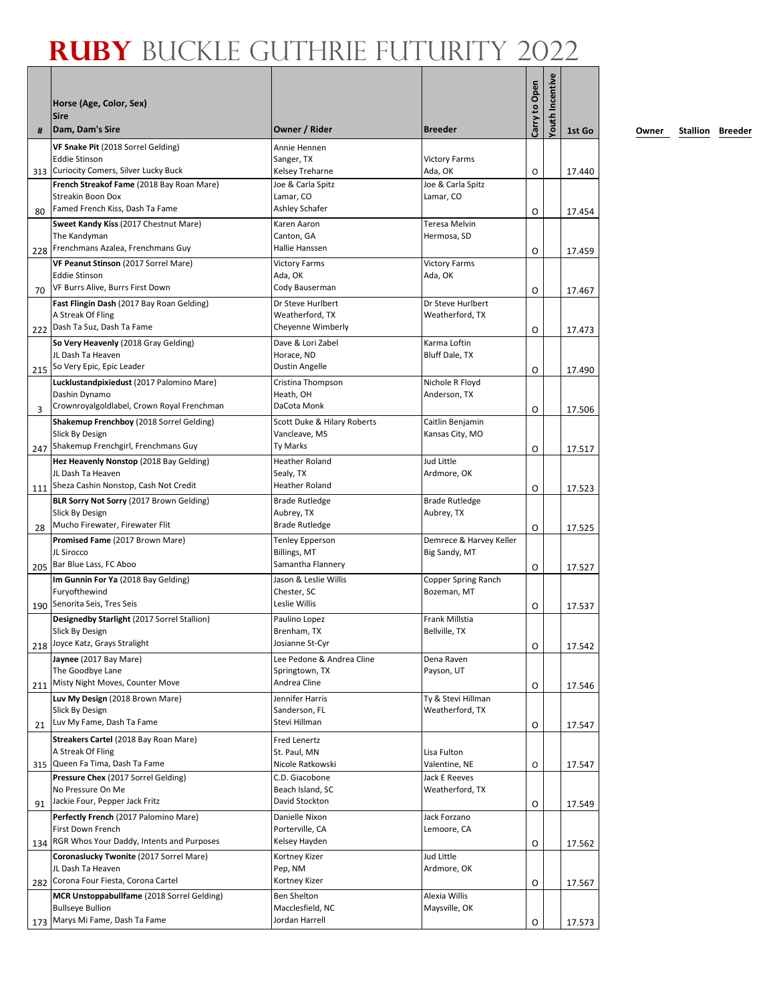|     |                                                                                   |                                                |                                     |               | Incentive |        |
|-----|-----------------------------------------------------------------------------------|------------------------------------------------|-------------------------------------|---------------|-----------|--------|
|     | Horse (Age, Color, Sex)                                                           |                                                |                                     |               |           |        |
| #   | <b>Sire</b><br>Dam, Dam's Sire                                                    | Owner / Rider                                  | <b>Breeder</b>                      | Carry to Open | Youth     | 1st Go |
|     | VF Snake Pit (2018 Sorrel Gelding)                                                | Annie Hennen                                   |                                     |               |           |        |
| 313 | <b>Eddie Stinson</b><br>Curiocity Comers, Silver Lucky Buck                       | Sanger, TX<br>Kelsey Treharne                  | <b>Victory Farms</b><br>Ada, OK     | O             |           | 17.440 |
|     | French Streakof Fame (2018 Bay Roan Mare)                                         | Joe & Carla Spitz                              | Joe & Carla Spitz                   |               |           |        |
|     | <b>Streakin Boon Dox</b>                                                          | Lamar, CO                                      | Lamar, CO                           |               |           |        |
| 80  | Famed French Kiss, Dash Ta Fame                                                   | Ashley Schafer                                 | Teresa Melvin                       | O             |           | 17.454 |
|     | Sweet Kandy Kiss (2017 Chestnut Mare)<br>The Kandyman                             | Karen Aaron<br>Canton, GA                      | Hermosa, SD                         |               |           |        |
| 228 | Frenchmans Azalea, Frenchmans Guy                                                 | Hallie Hanssen                                 |                                     | O             |           | 17.459 |
|     | VF Peanut Stinson (2017 Sorrel Mare)                                              | <b>Victory Farms</b>                           | <b>Victory Farms</b>                |               |           |        |
|     | <b>Eddie Stinson</b><br>VF Burrs Alive, Burrs First Down                          | Ada, OK<br>Cody Bauserman                      | Ada, OK                             |               |           |        |
| 70  | Fast Flingin Dash (2017 Bay Roan Gelding)                                         | Dr Steve Hurlbert                              | Dr Steve Hurlbert                   | O             |           | 17.467 |
|     | A Streak Of Fling                                                                 | Weatherford, TX                                | Weatherford, TX                     |               |           |        |
| 222 | Dash Ta Suz, Dash Ta Fame                                                         | Cheyenne Wimberly                              |                                     | O             |           | 17.473 |
|     | So Very Heavenly (2018 Gray Gelding)<br>JL Dash Ta Heaven                         | Dave & Lori Zabel                              | Karma Loftin                        |               |           |        |
| 215 | So Very Epic, Epic Leader                                                         | Horace, ND<br>Dustin Angelle                   | Bluff Dale, TX                      | O             |           | 17.490 |
|     | Lucklustandpixiedust (2017 Palomino Mare)                                         | Cristina Thompson                              | Nichole R Floyd                     |               |           |        |
|     | Dashin Dynamo                                                                     | Heath, OH                                      | Anderson, TX                        |               |           |        |
| 3   | Crownroyalgoldlabel, Crown Royal Frenchman                                        | DaCota Monk                                    |                                     | O             |           | 17.506 |
|     | Shakemup Frenchboy (2018 Sorrel Gelding)<br>Slick By Design                       | Scott Duke & Hilary Roberts<br>Vancleave, MS   | Caitlin Benjamin<br>Kansas City, MO |               |           |        |
| 247 | Shakemup Frenchgirl, Frenchmans Guy                                               | Ty Marks                                       |                                     | O             |           | 17.517 |
|     | Hez Heavenly Nonstop (2018 Bay Gelding)                                           | <b>Heather Roland</b>                          | Jud Little                          |               |           |        |
|     | JL Dash Ta Heaven                                                                 | Sealy, TX                                      | Ardmore, OK                         |               |           |        |
| 111 | Sheza Cashin Nonstop, Cash Not Credit<br>BLR Sorry Not Sorry (2017 Brown Gelding) | <b>Heather Roland</b><br><b>Brade Rutledge</b> | <b>Brade Rutledge</b>               | O             |           | 17.523 |
|     | Slick By Design                                                                   | Aubrey, TX                                     | Aubrey, TX                          |               |           |        |
| 28  | Mucho Firewater, Firewater Flit                                                   | <b>Brade Rutledge</b>                          |                                     | O             |           | 17.525 |
|     | Promised Fame (2017 Brown Mare)                                                   | <b>Tenley Epperson</b>                         | Demrece & Harvey Keller             |               |           |        |
| 205 | JL Sirocco<br>Bar Blue Lass, FC Aboo                                              | Billings, MT<br>Samantha Flannery              | Big Sandy, MT                       | O             |           | 17.527 |
|     | Im Gunnin For Ya (2018 Bay Gelding)                                               | Jason & Leslie Willis                          | Copper Spring Ranch                 |               |           |        |
|     | Furyofthewind                                                                     | Chester, SC                                    | Bozeman, MT                         |               |           |        |
| 190 | Senorita Seis, Tres Seis                                                          | Leslie Willis                                  |                                     | O             |           | 17.537 |
|     | Designedby Starlight (2017 Sorrel Stallion)<br>Slick By Design                    | Paulino Lopez<br>Brenham, TX                   | Frank Millstia<br>Bellville, TX     |               |           |        |
|     | 218 Joyce Katz, Grays Stralight                                                   | Josianne St-Cyr                                |                                     | 0             |           | 17.542 |
|     | Jaynee (2017 Bay Mare)                                                            | Lee Pedone & Andrea Cline                      | Dena Raven                          |               |           |        |
|     | The Goodbye Lane<br>Misty Night Moves, Counter Move                               | Springtown, TX<br>Andrea Cline                 | Payson, UT                          |               |           |        |
| 211 | Luv My Design (2018 Brown Mare)                                                   | Jennifer Harris                                | Ty & Stevi Hillman                  | O             |           | 17.546 |
|     | Slick By Design                                                                   | Sanderson, FL                                  | Weatherford, TX                     |               |           |        |
| 21  | Luv My Fame, Dash Ta Fame                                                         | Stevi Hillman                                  |                                     | O             |           | 17.547 |
|     | Streakers Cartel (2018 Bay Roan Mare)                                             | Fred Lenertz                                   |                                     |               |           |        |
| 315 | A Streak Of Fling<br>Queen Fa Tima, Dash Ta Fame                                  | St. Paul, MN<br>Nicole Ratkowski               | Lisa Fulton<br>Valentine, NE        | O             |           | 17.547 |
|     | Pressure Chex (2017 Sorrel Gelding)                                               | C.D. Giacobone                                 | Jack E Reeves                       |               |           |        |
|     | No Pressure On Me                                                                 | Beach Island, SC                               | Weatherford, TX                     |               |           |        |
| 91  | Jackie Four, Pepper Jack Fritz                                                    | David Stockton                                 |                                     | O             |           | 17.549 |
|     | Perfectly French (2017 Palomino Mare)<br>First Down French                        | Danielle Nixon<br>Porterville, CA              | Jack Forzano<br>Lemoore, CA         |               |           |        |
| 134 | RGR Whos Your Daddy, Intents and Purposes                                         | Kelsey Hayden                                  |                                     | O             |           | 17.562 |
|     | Coronaslucky Twonite (2017 Sorrel Mare)                                           | Kortney Kizer                                  | Jud Little                          |               |           |        |
|     | JL Dash Ta Heaven                                                                 | Pep, NM                                        | Ardmore, OK                         |               |           |        |
| 282 | Corona Four Fiesta, Corona Cartel<br>MCR Unstoppabullfame (2018 Sorrel Gelding)   | Kortney Kizer<br><b>Ben Shelton</b>            | Alexia Willis                       | 0             |           | 17.567 |
|     | <b>Bullseye Bullion</b>                                                           | Macclesfield, NC                               | Maysville, OK                       |               |           |        |
| 173 | Marys Mi Fame, Dash Ta Fame                                                       | Jordan Harrell                                 |                                     | O             |           | 17.573 |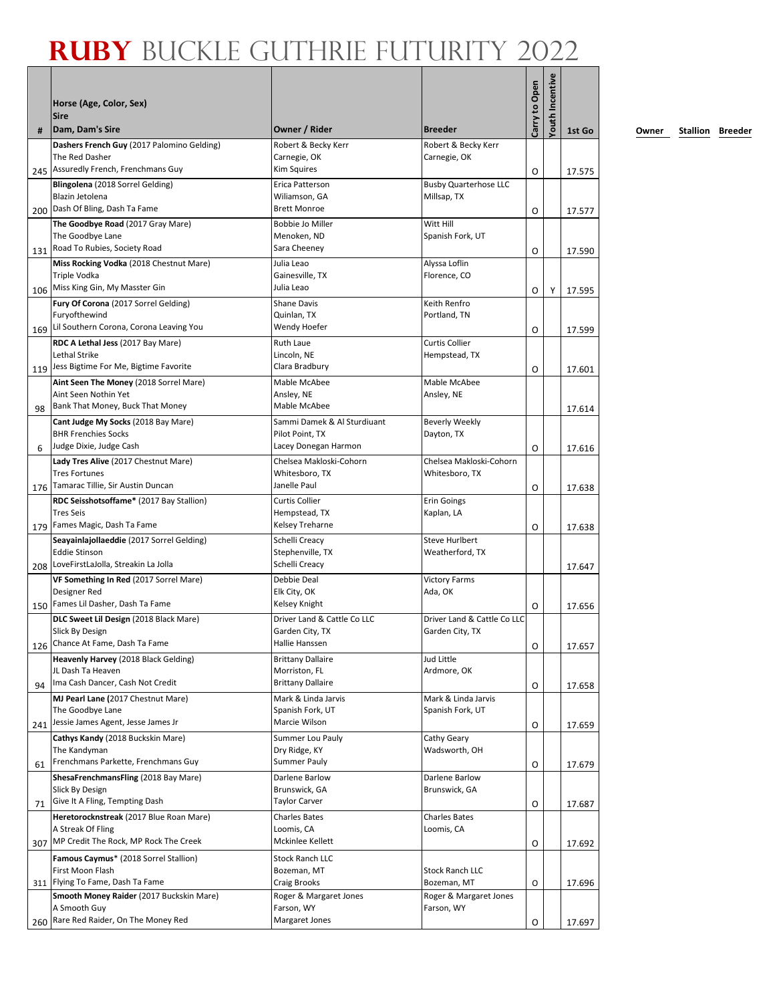|     | Horse (Age, Color, Sex)                                                                                  |                                                                        |                                                | Carry to Open | <b>Youth Incentive</b> |                  |
|-----|----------------------------------------------------------------------------------------------------------|------------------------------------------------------------------------|------------------------------------------------|---------------|------------------------|------------------|
| #   | <b>Sire</b><br>Dam, Dam's Sire                                                                           | Owner / Rider                                                          | <b>Breeder</b>                                 |               |                        | 1st Go           |
| 245 | Dashers French Guy (2017 Palomino Gelding)<br>The Red Dasher<br>Assuredly French, Frenchmans Guy         | Robert & Becky Kerr<br>Carnegie, OK<br>Kim Squires                     | Robert & Becky Kerr<br>Carnegie, OK            | O             |                        | 17.575           |
|     | Blingolena (2018 Sorrel Gelding)<br>Blazin Jetolena<br>200 Dash Of Bling, Dash Ta Fame                   | Erica Patterson<br>Wiliamson, GA<br><b>Brett Monroe</b>                | <b>Busby Quarterhose LLC</b><br>Millsap, TX    | O             |                        | 17.577           |
| 131 | The Goodbye Road (2017 Gray Mare)<br>The Goodbye Lane<br>Road To Rubies, Society Road                    | Bobbie Jo Miller<br>Menoken, ND<br>Sara Cheeney                        | Witt Hill<br>Spanish Fork, UT                  | O             |                        | 17.590           |
|     | Miss Rocking Vodka (2018 Chestnut Mare)<br>Triple Vodka<br>106 Miss King Gin, My Masster Gin             | Julia Leao<br>Gainesville, TX<br>Julia Leao                            | Alyssa Loflin<br>Florence, CO                  | 0             | Y                      | 17.595           |
| 169 | Fury Of Corona (2017 Sorrel Gelding)<br>Furyofthewind<br>Lil Southern Corona, Corona Leaving You         | <b>Shane Davis</b><br>Quinlan, TX<br>Wendy Hoefer                      | Keith Renfro<br>Portland, TN                   | O             |                        | 17.599           |
| 119 | RDC A Lethal Jess (2017 Bay Mare)<br>Lethal Strike<br>Jess Bigtime For Me, Bigtime Favorite              | <b>Ruth Laue</b><br>Lincoln, NE<br>Clara Bradbury                      | Curtis Collier<br>Hempstead, TX                | O             |                        | 17.601           |
| 98  | Aint Seen The Money (2018 Sorrel Mare)<br>Aint Seen Nothin Yet<br>Bank That Money, Buck That Money       | Mable McAbee<br>Ansley, NE<br>Mable McAbee                             | Mable McAbee<br>Ansley, NE                     |               |                        | 17.614           |
| 6   | Cant Judge My Socks (2018 Bay Mare)<br><b>BHR Frenchies Socks</b><br>Judge Dixie, Judge Cash             | Sammi Damek & Al Sturdiuant<br>Pilot Point, TX<br>Lacey Donegan Harmon | <b>Beverly Weekly</b><br>Dayton, TX            | O             |                        | 17.616           |
| 176 | Lady Tres Alive (2017 Chestnut Mare)<br><b>Tres Fortunes</b><br>Tamarac Tillie, Sir Austin Duncan        | Chelsea Makloski-Cohorn<br>Whitesboro, TX<br>Janelle Paul              | Chelsea Makloski-Cohorn<br>Whitesboro, TX      | O             |                        | 17.638           |
|     | RDC Seisshotsoffame* (2017 Bay Stallion)<br><b>Tres Seis</b><br>Fames Magic, Dash Ta Fame                | <b>Curtis Collier</b><br>Hempstead, TX<br>Kelsey Treharne              | <b>Erin Goings</b><br>Kaplan, LA               |               |                        |                  |
| 179 | Seayainlajollaeddie (2017 Sorrel Gelding)<br><b>Eddie Stinson</b><br>LoveFirstLaJolla, Streakin La Jolla | Schelli Creacy<br>Stephenville, TX<br>Schelli Creacy                   | <b>Steve Hurlbert</b><br>Weatherford, TX       | O             |                        | 17.638           |
| 208 | VF Something In Red (2017 Sorrel Mare)<br>Designer Red<br>150 Fames Lil Dasher, Dash Ta Fame             | Debbie Deal<br>Elk City, OK<br>Kelsey Knight                           | <b>Victory Farms</b><br>Ada, OK                | 0             |                        | 17.647<br>17.656 |
|     | DLC Sweet Lil Design (2018 Black Mare)<br>Slick By Design<br>126 Chance At Fame, Dash Ta Fame            | Driver Land & Cattle Co LLC<br>Garden City, TX<br>Hallie Hanssen       | Driver Land & Cattle Co LLC<br>Garden City, TX | O             |                        | 17.657           |
| 94  | Heavenly Harvey (2018 Black Gelding)<br>JL Dash Ta Heaven<br>Ima Cash Dancer, Cash Not Credit            | <b>Brittany Dallaire</b><br>Morriston, FL<br><b>Brittany Dallaire</b>  | Jud Little<br>Ardmore, OK                      | O             |                        | 17.658           |
| 241 | MJ Pearl Lane (2017 Chestnut Mare)<br>The Goodbye Lane<br>Jessie James Agent, Jesse James Jr             | Mark & Linda Jarvis<br>Spanish Fork, UT<br>Marcie Wilson               | Mark & Linda Jarvis<br>Spanish Fork, UT        | O             |                        | 17.659           |
| 61  | Cathys Kandy (2018 Buckskin Mare)<br>The Kandyman<br>Frenchmans Parkette, Frenchmans Guy                 | Summer Lou Pauly<br>Dry Ridge, KY<br><b>Summer Pauly</b>               | Cathy Geary<br>Wadsworth, OH                   | O             |                        | 17.679           |
| 71  | ShesaFrenchmansFling (2018 Bay Mare)<br>Slick By Design<br>Give It A Fling, Tempting Dash                | Darlene Barlow<br>Brunswick, GA<br><b>Taylor Carver</b>                | Darlene Barlow<br>Brunswick, GA                | O             |                        | 17.687           |
| 307 | Heretorocknstreak (2017 Blue Roan Mare)<br>A Streak Of Fling<br>MP Credit The Rock, MP Rock The Creek    | <b>Charles Bates</b><br>Loomis, CA<br>Mckinlee Kellett                 | <b>Charles Bates</b><br>Loomis, CA             | O             |                        | 17.692           |
|     | Famous Caymus* (2018 Sorrel Stallion)<br>First Moon Flash<br>311 Flying To Fame, Dash Ta Fame            | <b>Stock Ranch LLC</b><br>Bozeman, MT<br><b>Craig Brooks</b>           | <b>Stock Ranch LLC</b><br>Bozeman, MT          |               |                        |                  |
|     | Smooth Money Raider (2017 Buckskin Mare)<br>A Smooth Guy<br>Rare Red Raider, On The Money Red            | Roger & Margaret Jones<br>Farson, WY<br>Margaret Jones                 | Roger & Margaret Jones<br>Farson, WY           | O             |                        | 17.696           |
| 260 |                                                                                                          |                                                                        |                                                | O             |                        | 17.697           |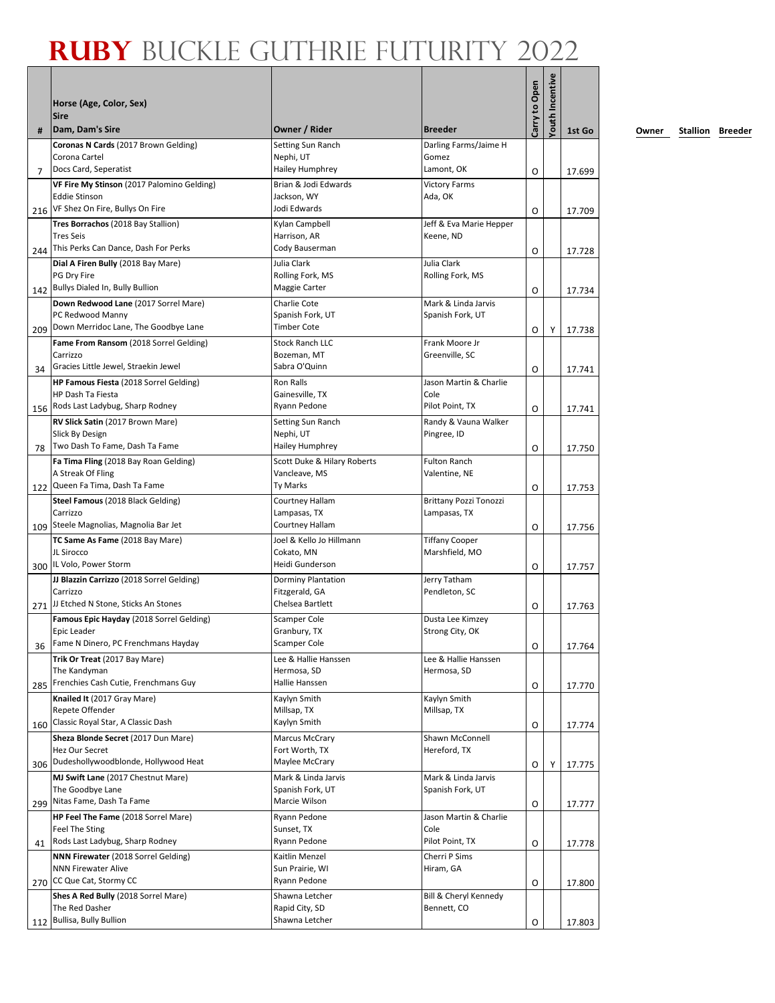|     | Horse (Age, Color, Sex)<br><b>Sire</b>                   |                                        |                                     | Carry to Open | Youth Incentive |        |
|-----|----------------------------------------------------------|----------------------------------------|-------------------------------------|---------------|-----------------|--------|
| #   | Dam, Dam's Sire                                          | Owner / Rider                          | <b>Breeder</b>                      |               |                 | 1st Go |
|     | Coronas N Cards (2017 Brown Gelding)<br>Corona Cartel    | Setting Sun Ranch<br>Nephi, UT         | Darling Farms/Jaime H<br>Gomez      |               |                 |        |
| 7   | Docs Card, Seperatist                                    | Hailey Humphrey                        | Lamont, OK                          | 0             |                 | 17.699 |
|     | VF Fire My Stinson (2017 Palomino Gelding)               | Brian & Jodi Edwards                   | <b>Victory Farms</b>                |               |                 |        |
| 216 | <b>Eddie Stinson</b><br>VF Shez On Fire, Bullys On Fire  | Jackson, WY<br>Jodi Edwards            | Ada, OK                             | O             |                 | 17.709 |
|     | Tres Borrachos (2018 Bay Stallion)                       | Kylan Campbell                         | Jeff & Eva Marie Hepper             |               |                 |        |
|     | <b>Tres Seis</b>                                         | Harrison, AR                           | Keene, ND                           |               |                 |        |
| 244 | This Perks Can Dance, Dash For Perks                     | Cody Bauserman                         |                                     | O             |                 | 17.728 |
|     | Dial A Firen Bully (2018 Bay Mare)                       | Julia Clark                            | Julia Clark                         |               |                 |        |
|     | PG Dry Fire                                              | Rolling Fork, MS                       | Rolling Fork, MS                    |               |                 |        |
| 142 | Bullys Dialed In, Bully Bullion                          | Maggie Carter                          |                                     | O             |                 | 17.734 |
|     | Down Redwood Lane (2017 Sorrel Mare)                     | Charlie Cote                           | Mark & Linda Jarvis                 |               |                 |        |
|     | PC Redwood Manny<br>Down Merridoc Lane, The Goodbye Lane | Spanish Fork, UT<br><b>Timber Cote</b> | Spanish Fork, UT                    |               |                 |        |
| 209 |                                                          | <b>Stock Ranch LLC</b>                 | Frank Moore Jr                      | O             | Υ               | 17.738 |
|     | Fame From Ransom (2018 Sorrel Gelding)<br>Carrizzo       | Bozeman, MT                            | Greenville, SC                      |               |                 |        |
| 34  | Gracies Little Jewel, Straekin Jewel                     | Sabra O'Quinn                          |                                     | O             |                 | 17.741 |
|     | HP Famous Fiesta (2018 Sorrel Gelding)                   | Ron Ralls                              | Jason Martin & Charlie              |               |                 |        |
|     | HP Dash Ta Fiesta                                        | Gainesville, TX                        | Cole                                |               |                 |        |
|     | 156 Rods Last Ladybug, Sharp Rodney                      | Ryann Pedone                           | Pilot Point, TX                     | O             |                 | 17.741 |
|     | RV Slick Satin (2017 Brown Mare)                         | Setting Sun Ranch                      | Randy & Vauna Walker                |               |                 |        |
|     | Slick By Design                                          | Nephi, UT                              | Pingree, ID                         |               |                 |        |
| 78  | Two Dash To Fame, Dash Ta Fame                           | Hailey Humphrey                        |                                     | O             |                 | 17.750 |
|     | Fa Tima Fling (2018 Bay Roan Gelding)                    | Scott Duke & Hilary Roberts            | <b>Fulton Ranch</b>                 |               |                 |        |
|     | A Streak Of Fling<br>Queen Fa Tima, Dash Ta Fame         | Vancleave, MS<br>Ty Marks              | Valentine, NE                       |               |                 |        |
| 122 | Steel Famous (2018 Black Gelding)                        | Courtney Hallam                        | Brittany Pozzi Tonozzi              | O             |                 | 17.753 |
|     | Carrizzo                                                 | Lampasas, TX                           | Lampasas, TX                        |               |                 |        |
| 109 | Steele Magnolias, Magnolia Bar Jet                       | Courtney Hallam                        |                                     | O             |                 | 17.756 |
|     | TC Same As Fame (2018 Bay Mare)                          | Joel & Kello Jo Hillmann               | <b>Tiffany Cooper</b>               |               |                 |        |
|     | JL Sirocco                                               | Cokato, MN                             | Marshfield, MO                      |               |                 |        |
| 300 | IL Volo, Power Storm                                     | Heidi Gunderson                        |                                     | O             |                 | 17.757 |
|     | JJ Blazzin Carrizzo (2018 Sorrel Gelding)                | Dorminy Plantation                     | Jerry Tatham                        |               |                 |        |
|     | Carrizzo<br>JJ Etched N Stone, Sticks An Stones          | Fitzgerald, GA<br>Chelsea Bartlett     | Pendleton, SC                       |               |                 |        |
| 271 |                                                          |                                        |                                     | O             |                 | 17.763 |
|     | Famous Epic Hayday (2018 Sorrel Gelding)<br>Epic Leader  | Scamper Cole<br>Granbury, TX           | Dusta Lee Kimzey<br>Strong City, OK |               |                 |        |
| 36  | Fame N Dinero, PC Frenchmans Hayday                      | <b>Scamper Cole</b>                    |                                     | O             |                 | 17.764 |
|     | Trik Or Treat (2017 Bay Mare)                            | Lee & Hallie Hanssen                   | Lee & Hallie Hanssen                |               |                 |        |
|     | The Kandyman                                             | Hermosa, SD                            | Hermosa, SD                         |               |                 |        |
| 285 | Frenchies Cash Cutie, Frenchmans Guy                     | Hallie Hanssen                         |                                     | O             |                 | 17.770 |
|     | Knailed It (2017 Gray Mare)                              | Kaylyn Smith                           | Kaylyn Smith                        |               |                 |        |
|     | Repete Offender                                          | Millsap, TX                            | Millsap, TX                         |               |                 |        |
| 160 | Classic Royal Star, A Classic Dash                       | Kaylyn Smith                           |                                     | O             |                 | 17.774 |
|     | Sheza Blonde Secret (2017 Dun Mare)<br>Hez Our Secret    | Marcus McCrary<br>Fort Worth, TX       | Shawn McConnell<br>Hereford, TX     |               |                 |        |
| 306 | Dudeshollywoodblonde, Hollywood Heat                     | Maylee McCrary                         |                                     | O             | Y               | 17.775 |
|     | MJ Swift Lane (2017 Chestnut Mare)                       | Mark & Linda Jarvis                    | Mark & Linda Jarvis                 |               |                 |        |
|     | The Goodbye Lane                                         | Spanish Fork, UT                       | Spanish Fork, UT                    |               |                 |        |
| 299 | Nitas Fame, Dash Ta Fame                                 | Marcie Wilson                          |                                     | O             |                 | 17.777 |
|     | HP Feel The Fame (2018 Sorrel Mare)                      | Ryann Pedone                           | Jason Martin & Charlie              |               |                 |        |
|     | Feel The Sting                                           | Sunset, TX                             | Cole                                |               |                 |        |
| 41  | Rods Last Ladybug, Sharp Rodney                          | Ryann Pedone                           | Pilot Point, TX                     | O             |                 | 17.778 |
|     | NNN Firewater (2018 Sorrel Gelding)                      | Kaitlin Menzel                         | Cherri P Sims                       |               |                 |        |
|     | <b>NNN Firewater Alive</b><br>CC Que Cat, Stormy CC      | Sun Prairie, WI<br>Ryann Pedone        | Hiram, GA                           |               |                 |        |
| 270 | Shes A Red Bully (2018 Sorrel Mare)                      | Shawna Letcher                         | Bill & Cheryl Kennedy               | O             |                 | 17.800 |
|     | The Red Dasher                                           | Rapid City, SD                         | Bennett, CO                         |               |                 |        |
| 112 | Bullisa, Bully Bullion                                   | Shawna Letcher                         |                                     | O             |                 | 17.803 |
|     |                                                          |                                        |                                     |               |                 |        |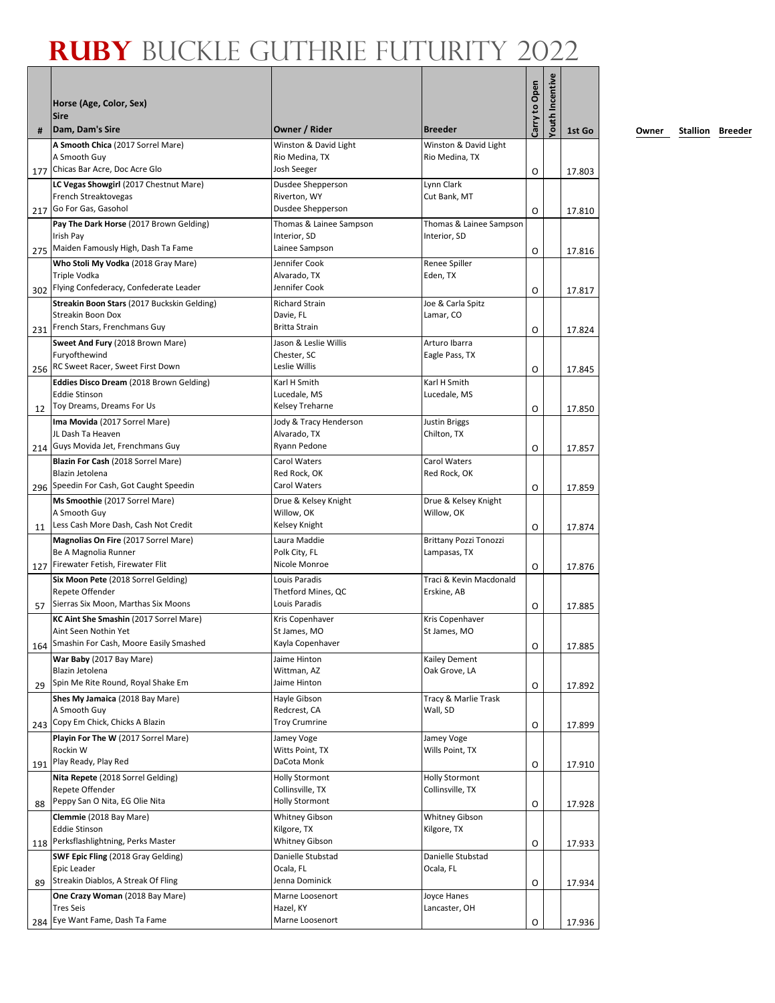|           | Horse (Age, Color, Sex)<br><b>Sire</b>                                                                                                          |                                                                      |                                               | Carry to Open | Youth Incentive |                  |
|-----------|-------------------------------------------------------------------------------------------------------------------------------------------------|----------------------------------------------------------------------|-----------------------------------------------|---------------|-----------------|------------------|
| #         | Dam, Dam's Sire                                                                                                                                 | Owner / Rider                                                        | <b>Breeder</b>                                |               |                 | 1st Go           |
| 177       | A Smooth Chica (2017 Sorrel Mare)<br>A Smooth Guy<br>Chicas Bar Acre, Doc Acre Glo                                                              | Winston & David Light<br>Rio Medina, TX<br>Josh Seeger               | Winston & David Light<br>Rio Medina, TX       | O             |                 | 17.803           |
|           | LC Vegas Showgirl (2017 Chestnut Mare)<br>French Streaktovegas<br>217 Go For Gas, Gasohol                                                       | Dusdee Shepperson<br>Riverton, WY<br>Dusdee Shepperson               | Lynn Clark<br>Cut Bank, MT                    | O             |                 | 17.810           |
| 275       | Pay The Dark Horse (2017 Brown Gelding)<br>Irish Pay<br>Maiden Famously High, Dash Ta Fame                                                      | Thomas & Lainee Sampson<br>Interior, SD<br>Lainee Sampson            | Thomas & Lainee Sampson<br>Interior, SD       | O             |                 | 17.816           |
| 302       | Who Stoli My Vodka (2018 Gray Mare)<br>Triple Vodka<br>Flying Confederacy, Confederate Leader                                                   | Jennifer Cook<br>Alvarado, TX<br>Jennifer Cook                       | Renee Spiller<br>Eden, TX                     | O             |                 | 17.817           |
| 231       | Streakin Boon Stars (2017 Buckskin Gelding)<br>Streakin Boon Dox<br>French Stars, Frenchmans Guy                                                | <b>Richard Strain</b><br>Davie. FL<br><b>Britta Strain</b>           | Joe & Carla Spitz<br>Lamar, CO                | O             |                 | 17.824           |
|           | Sweet And Fury (2018 Brown Mare)<br>Furyofthewind<br>RC Sweet Racer, Sweet First Down                                                           | Jason & Leslie Willis<br>Chester, SC<br>Leslie Willis                | Arturo Ibarra<br>Eagle Pass, TX               |               |                 |                  |
| 256<br>12 | Eddies Disco Dream (2018 Brown Gelding)<br><b>Eddie Stinson</b><br>Toy Dreams, Dreams For Us                                                    | Karl H Smith<br>Lucedale, MS<br>Kelsey Treharne                      | Karl H Smith<br>Lucedale, MS                  | O<br>O        |                 | 17.845<br>17.850 |
|           | Ima Movida (2017 Sorrel Mare)<br>JL Dash Ta Heaven<br>214 Guys Movida Jet, Frenchmans Guy                                                       | Jody & Tracy Henderson<br>Alvarado, TX<br>Ryann Pedone               | <b>Justin Briggs</b><br>Chilton, TX           | O             |                 | 17.857           |
|           | Blazin For Cash (2018 Sorrel Mare)<br>Blazin Jetolena<br>Speedin For Cash, Got Caught Speedin                                                   | Carol Waters<br>Red Rock, OK<br>Carol Waters                         | Carol Waters<br>Red Rock, OK                  |               |                 |                  |
| 296       | Ms Smoothie (2017 Sorrel Mare)<br>A Smooth Guy<br>Less Cash More Dash, Cash Not Credit                                                          | Drue & Kelsey Knight<br>Willow, OK<br>Kelsey Knight                  | Drue & Kelsey Knight<br>Willow, OK            | O             |                 | 17.859           |
| 11        | Magnolias On Fire (2017 Sorrel Mare)<br>Be A Magnolia Runner                                                                                    | Laura Maddie<br>Polk City, FL<br>Nicole Monroe                       | <b>Brittany Pozzi Tonozzi</b><br>Lampasas, TX | O             |                 | 17.874           |
| 127       | Firewater Fetish, Firewater Flit<br>Six Moon Pete (2018 Sorrel Gelding)<br>Repete Offender                                                      | Louis Paradis<br>Thetford Mines, QC                                  | Traci & Kevin Macdonald<br>Erskine, AB        | O             |                 | 17.876           |
| 57<br>164 | Sierras Six Moon, Marthas Six Moons<br>KC Aint She Smashin (2017 Sorrel Mare)<br>Aint Seen Nothin Yet<br>Smashin For Cash, Moore Easily Smashed | Louis Paradis<br>Kris Copenhaver<br>St James, MO<br>Kayla Copenhaver | Kris Copenhaver<br>St James, MO               | O<br>O        |                 | 17.885<br>17.885 |
| 29        | War Baby (2017 Bay Mare)<br>Blazin Jetolena<br>Spin Me Rite Round, Royal Shake Em                                                               | Jaime Hinton<br>Wittman, AZ<br>Jaime Hinton                          | Kailey Dement<br>Oak Grove, LA                | O             |                 | 17.892           |
| 243       | Shes My Jamaica (2018 Bay Mare)<br>A Smooth Guy<br>Copy Em Chick, Chicks A Blazin                                                               | Hayle Gibson<br>Redcrest, CA<br><b>Troy Crumrine</b>                 | Tracy & Marlie Trask<br>Wall, SD              | O             |                 | 17.899           |
| 191       | Playin For The W (2017 Sorrel Mare)<br>Rockin W<br>Play Ready, Play Red                                                                         | Jamey Voge<br>Witts Point, TX<br>DaCota Monk                         | Jamey Voge<br>Wills Point, TX                 | O             |                 | 17.910           |
|           | Nita Repete (2018 Sorrel Gelding)<br>Repete Offender<br>Peppy San O Nita, EG Olie Nita                                                          | <b>Holly Stormont</b><br>Collinsville, TX<br><b>Holly Stormont</b>   | <b>Holly Stormont</b><br>Collinsville, TX     |               |                 |                  |
| 88        | Clemmie (2018 Bay Mare)<br><b>Eddie Stinson</b><br>Perksflashlightning, Perks Master                                                            | <b>Whitney Gibson</b><br>Kilgore, TX<br><b>Whitney Gibson</b>        | <b>Whitney Gibson</b><br>Kilgore, TX          | O             |                 | 17.928           |
| 118       | <b>SWF Epic Fling (2018 Gray Gelding)</b><br>Epic Leader                                                                                        | Danielle Stubstad<br>Ocala, FL                                       | Danielle Stubstad<br>Ocala, FL                | O             |                 | 17.933           |
| 89        | Streakin Diablos, A Streak Of Fling<br>One Crazy Woman (2018 Bay Mare)<br><b>Tres Seis</b>                                                      | Jenna Dominick<br>Marne Loosenort<br>Hazel, KY                       | Joyce Hanes<br>Lancaster, OH                  | O             |                 | 17.934           |
| 284       | Eye Want Fame, Dash Ta Fame                                                                                                                     | Marne Loosenort                                                      |                                               | O             |                 | 17.936           |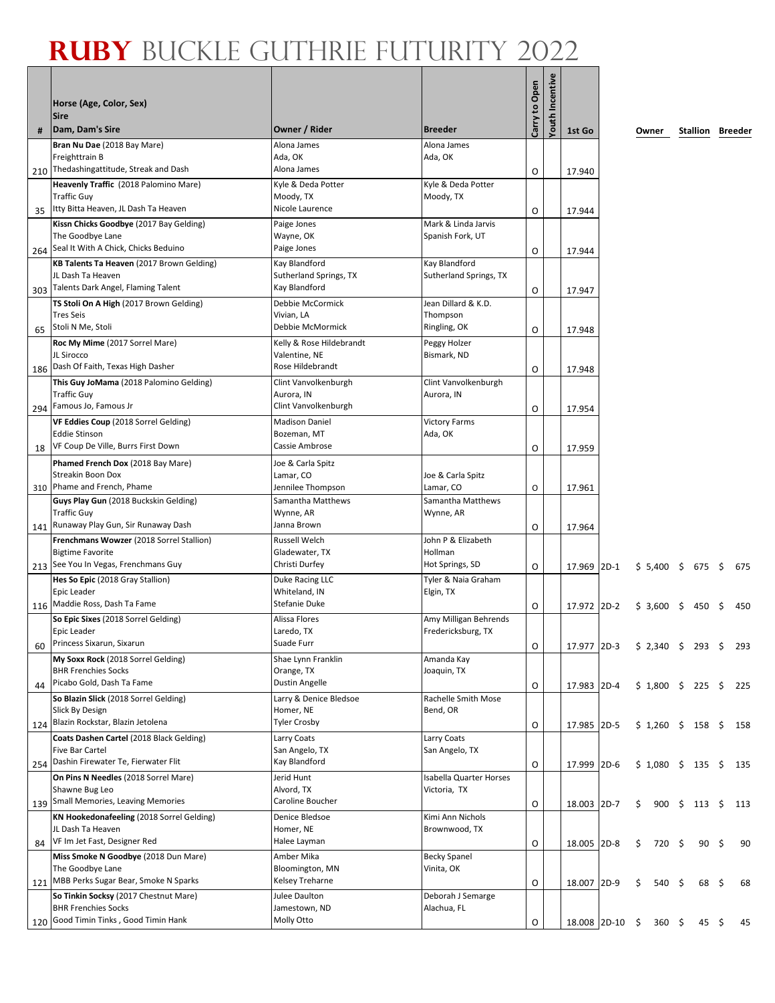|     | Horse (Age, Color, Sex)<br><b>Sire</b><br>Dam, Dam's Sire                                           | Owner / Rider                                      | <b>Breeder</b>                              | Carry to Open | Youth Incentive |                              |        |                      |    |                         |    |     |
|-----|-----------------------------------------------------------------------------------------------------|----------------------------------------------------|---------------------------------------------|---------------|-----------------|------------------------------|--------|----------------------|----|-------------------------|----|-----|
| #   |                                                                                                     |                                                    |                                             |               |                 | 1st Go                       |        | Owner                |    | <b>Stallion Breeder</b> |    |     |
|     | Bran Nu Dae (2018 Bay Mare)<br>Freighttrain B<br>Thedashingattitude, Streak and Dash                | Alona James<br>Ada, OK<br>Alona James              | Alona James<br>Ada, OK                      |               |                 |                              |        |                      |    |                         |    |     |
| 210 |                                                                                                     |                                                    |                                             | O             |                 | 17.940                       |        |                      |    |                         |    |     |
|     | Heavenly Traffic (2018 Palomino Mare)<br><b>Traffic Guy</b><br>Itty Bitta Heaven, JL Dash Ta Heaven | Kyle & Deda Potter<br>Moody, TX<br>Nicole Laurence | Kyle & Deda Potter<br>Moody, TX             |               |                 |                              |        |                      |    |                         |    |     |
| 35  |                                                                                                     |                                                    |                                             | 0             |                 | 17.944                       |        |                      |    |                         |    |     |
|     | Kissn Chicks Goodbye (2017 Bay Gelding)<br>The Goodbye Lane<br>Seal It With A Chick, Chicks Beduino | Paige Jones<br>Wayne, OK<br>Paige Jones            | Mark & Linda Jarvis<br>Spanish Fork, UT     |               |                 |                              |        |                      |    |                         |    |     |
| 264 |                                                                                                     |                                                    |                                             | Ο             |                 | 17.944                       |        |                      |    |                         |    |     |
|     | KB Talents Ta Heaven (2017 Brown Gelding)<br>JL Dash Ta Heaven                                      | Kay Blandford<br>Sutherland Springs, TX            | Kay Blandford<br>Sutherland Springs, TX     |               |                 |                              |        |                      |    |                         |    |     |
|     | 303 Talents Dark Angel, Flaming Talent                                                              | Kay Blandford                                      |                                             | O             |                 | 17.947                       |        |                      |    |                         |    |     |
|     | TS Stoli On A High (2017 Brown Gelding)<br><b>Tres Seis</b>                                         | Debbie McCormick<br>Vivian, LA                     | Jean Dillard & K.D.<br>Thompson             |               |                 |                              |        |                      |    |                         |    |     |
| 65  | Stoli N Me, Stoli                                                                                   | Debbie McMormick                                   | Ringling, OK                                | O             |                 | 17.948                       |        |                      |    |                         |    |     |
|     | Roc My Mime (2017 Sorrel Mare)<br>JL Sirocco                                                        | Kelly & Rose Hildebrandt<br>Valentine, NE          | Peggy Holzer<br>Bismark, ND                 |               |                 |                              |        |                      |    |                         |    |     |
| 186 | Dash Of Faith, Texas High Dasher                                                                    | Rose Hildebrandt                                   |                                             | O             |                 | 17.948                       |        |                      |    |                         |    |     |
|     | This Guy JoMama (2018 Palomino Gelding)<br><b>Traffic Guy</b>                                       | Clint Vanvolkenburgh<br>Aurora, IN                 | Clint Vanvolkenburgh<br>Aurora, IN          |               |                 |                              |        |                      |    |                         |    |     |
|     | 294 Famous Jo, Famous Jr                                                                            | Clint Vanvolkenburgh                               |                                             | 0             |                 | 17.954                       |        |                      |    |                         |    |     |
|     | VF Eddies Coup (2018 Sorrel Gelding)                                                                | <b>Madison Daniel</b>                              | <b>Victory Farms</b>                        |               |                 |                              |        |                      |    |                         |    |     |
|     | <b>Eddie Stinson</b>                                                                                | Bozeman, MT                                        | Ada, OK                                     |               |                 |                              |        |                      |    |                         |    |     |
| 18  | VF Coup De Ville, Burrs First Down                                                                  | Cassie Ambrose                                     |                                             | Ο             |                 | 17.959                       |        |                      |    |                         |    |     |
|     | Phamed French Dox (2018 Bay Mare)                                                                   | Joe & Carla Spitz                                  |                                             |               |                 |                              |        |                      |    |                         |    |     |
|     | <b>Streakin Boon Dox</b>                                                                            | Lamar, CO                                          | Joe & Carla Spitz                           |               |                 |                              |        |                      |    |                         |    |     |
|     | 310 Phame and French, Phame                                                                         | Jennilee Thompson                                  | Lamar, CO                                   | 0             |                 | 17.961                       |        |                      |    |                         |    |     |
|     | Guys Play Gun (2018 Buckskin Gelding)                                                               | Samantha Matthews                                  | Samantha Matthews                           |               |                 |                              |        |                      |    |                         |    |     |
|     | <b>Traffic Guy</b><br>Runaway Play Gun, Sir Runaway Dash                                            | Wynne, AR<br>Janna Brown                           | Wynne, AR                                   |               |                 |                              |        |                      |    |                         |    |     |
| 141 | Frenchmans Wowzer (2018 Sorrel Stallion)                                                            | <b>Russell Welch</b>                               | John P & Elizabeth                          | 0             |                 | 17.964                       |        |                      |    |                         |    |     |
|     | <b>Bigtime Favorite</b>                                                                             | Gladewater, TX                                     | Hollman                                     |               |                 |                              |        |                      |    |                         |    |     |
|     | 213 See You In Vegas, Frenchmans Guy                                                                | Christi Durfey                                     | Hot Springs, SD                             | O             |                 | 17.969 2D-1                  |        | $$5,400$ \$ 675 \$   |    |                         |    | 675 |
|     | Hes So Epic (2018 Gray Stallion)                                                                    | Duke Racing LLC                                    | Tyler & Naia Graham                         |               |                 |                              |        |                      |    |                         |    |     |
|     | Epic Leader                                                                                         | Whiteland, IN                                      | Elgin, TX                                   |               |                 |                              |        |                      |    |                         |    |     |
|     | 116 Maddie Ross, Dash Ta Fame                                                                       | Stefanie Duke                                      |                                             | 0             |                 | 17.972                       | $2D-2$ | $$3,600$ \$          |    | 450                     | S  | 450 |
|     | So Epic Sixes (2018 Sorrel Gelding)<br>Epic Leader                                                  | Alissa Flores<br>Laredo, TX                        | Amy Milligan Behrends<br>Fredericksburg, TX |               |                 |                              |        |                      |    |                         |    |     |
| 60  | Princess Sixarun, Sixarun                                                                           | Suade Furr                                         |                                             | O             |                 | 17.977                       | $2D-3$ | \$2,340 \$293        |    |                         | \$ | 293 |
|     | My Soxx Rock (2018 Sorrel Gelding)                                                                  | Shae Lynn Franklin                                 | Amanda Kay                                  |               |                 |                              |        |                      |    |                         |    |     |
|     | <b>BHR Frenchies Socks</b>                                                                          | Orange, TX                                         | Joaquin, TX                                 |               |                 |                              |        |                      |    |                         |    |     |
| 44  | Picabo Gold, Dash Ta Fame                                                                           | Dustin Angelle                                     |                                             | O             |                 | 17.983 2D-4                  |        | $$1,800$ $$225$      |    |                         | \$ | 225 |
|     | So Blazin Slick (2018 Sorrel Gelding)                                                               | Larry & Denice Bledsoe                             | Rachelle Smith Mose                         |               |                 |                              |        |                      |    |                         |    |     |
| 124 | Slick By Design<br>Blazin Rockstar, Blazin Jetolena                                                 | Homer, NE<br>Tyler Crosby                          | Bend, OR                                    | O             |                 | 17.985 2D-5                  |        | $$1,260 \t$ 158 \t$$ |    |                         |    | 158 |
|     | Coats Dashen Cartel (2018 Black Gelding)                                                            | Larry Coats                                        | Larry Coats                                 |               |                 |                              |        |                      |    |                         |    |     |
|     | <b>Five Bar Cartel</b>                                                                              | San Angelo, TX                                     | San Angelo, TX                              |               |                 |                              |        |                      |    |                         |    |     |
|     | 254 Dashin Firewater Te, Fierwater Flit                                                             | Kay Blandford                                      |                                             | O             |                 | 17.999                       | $2D-6$ | $$1,080$ \$ 135      |    |                         | \$ | 135 |
|     | On Pins N Needles (2018 Sorrel Mare)                                                                | Jerid Hunt                                         | <b>Isabella Quarter Horses</b>              |               |                 |                              |        |                      |    |                         |    |     |
|     | Shawne Bug Leo                                                                                      | Alvord, TX                                         | Victoria, TX                                |               |                 |                              |        |                      |    |                         |    |     |
|     | 139 Small Memories, Leaving Memories                                                                | Caroline Boucher                                   |                                             | O             |                 | 18.003                       | $2D-7$ | \$                   |    | 900 \$ 113              | \$ | 113 |
|     | KN Hookedonafeeling (2018 Sorrel Gelding)                                                           | Denice Bledsoe                                     | Kimi Ann Nichols                            |               |                 |                              |        |                      |    |                         |    |     |
|     | JL Dash Ta Heaven                                                                                   | Homer, NE                                          | Brownwood, TX                               |               |                 |                              |        |                      |    |                         |    |     |
| 84  | VF Im Jet Fast, Designer Red                                                                        | Halee Layman                                       |                                             | O             |                 | 18.005 2D-8                  |        | \$<br>720            | -S | 90                      | \$ | 90  |
|     | Miss Smoke N Goodbye (2018 Dun Mare)                                                                | Amber Mika                                         | <b>Becky Spanel</b>                         |               |                 |                              |        |                      |    |                         |    |     |
|     | The Goodbye Lane<br>MBB Perks Sugar Bear, Smoke N Sparks                                            | Bloomington, MN<br>Kelsey Treharne                 | Vinita, OK                                  |               |                 |                              |        |                      |    |                         |    |     |
| 121 | So Tinkin Socksy (2017 Chestnut Mare)                                                               | Julee Daulton                                      | Deborah J Semarge                           | O             |                 | 18.007 2D-9                  |        | \$<br>540            | \$ | 68                      | \$ | 68  |
|     | <b>BHR Frenchies Socks</b>                                                                          | Jamestown, ND                                      | Alachua, FL                                 |               |                 |                              |        |                      |    |                         |    |     |
| 120 | Good Timin Tinks, Good Timin Hank                                                                   | Molly Otto                                         |                                             | O             |                 | 18.008 2D-10 \$ 360 \$ 45 \$ |        |                      |    |                         |    | 45  |
|     |                                                                                                     |                                                    |                                             |               |                 |                              |        |                      |    |                         |    |     |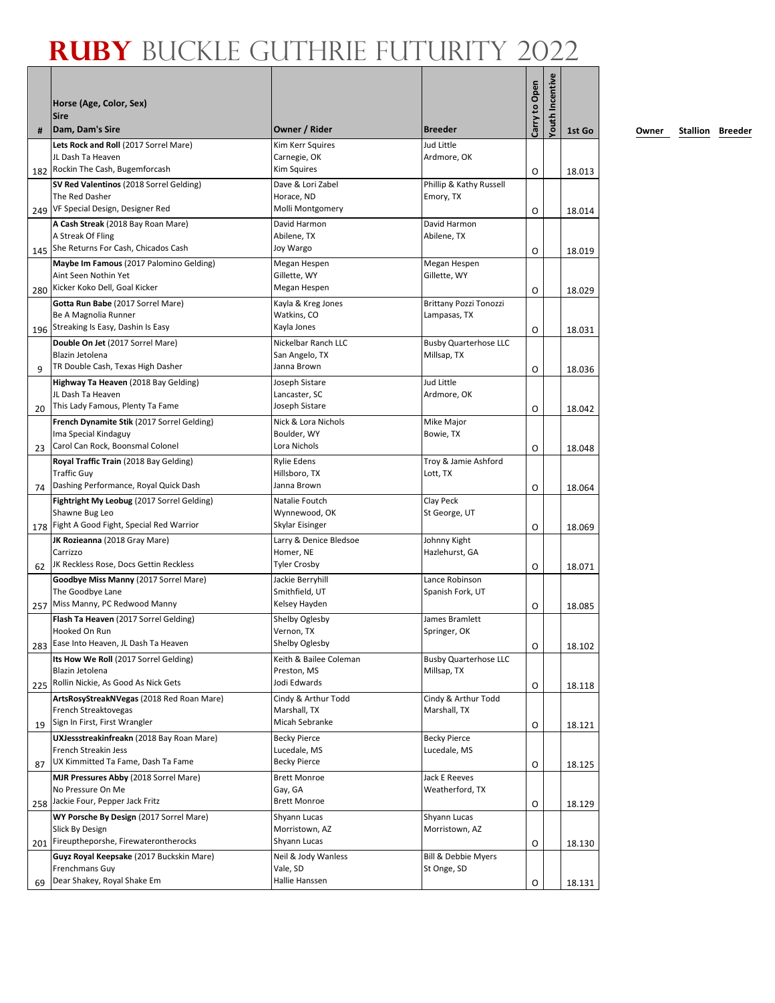| #   | Horse (Age, Color, Sex)<br><b>Sire</b><br>Dam, Dam's Sire    | Owner / Rider                         | <b>Breeder</b>                              | Carry to Open | <b>routh Incentive</b> | 1st Go |
|-----|--------------------------------------------------------------|---------------------------------------|---------------------------------------------|---------------|------------------------|--------|
|     | Lets Rock and Roll (2017 Sorrel Mare)                        | Kim Kerr Squires                      | Jud Little                                  |               |                        |        |
|     | JL Dash Ta Heaven<br>Rockin The Cash, Bugemforcash           | Carnegie, OK<br><b>Kim Squires</b>    | Ardmore, OK                                 |               |                        |        |
| 182 |                                                              |                                       |                                             | O             |                        | 18.013 |
|     | SV Red Valentinos (2018 Sorrel Gelding)<br>The Red Dasher    | Dave & Lori Zabel<br>Horace, ND       | Phillip & Kathy Russell<br>Emory, TX        |               |                        |        |
|     | 249 VF Special Design, Designer Red                          | Molli Montgomery                      |                                             | $\circ$       |                        |        |
|     |                                                              | David Harmon                          | David Harmon                                |               |                        | 18.014 |
|     | A Cash Streak (2018 Bay Roan Mare)<br>A Streak Of Fling      | Abilene, TX                           | Abilene, TX                                 |               |                        |        |
|     | 145 She Returns For Cash, Chicados Cash                      | Joy Wargo                             |                                             | O             |                        | 18.019 |
|     | Maybe Im Famous (2017 Palomino Gelding)                      | Megan Hespen                          | Megan Hespen                                |               |                        |        |
|     | Aint Seen Nothin Yet                                         | Gillette, WY                          | Gillette, WY                                |               |                        |        |
| 280 | Kicker Koko Dell, Goal Kicker                                | Megan Hespen                          |                                             | O             |                        | 18.029 |
|     | Gotta Run Babe (2017 Sorrel Mare)                            | Kayla & Kreg Jones                    | <b>Brittany Pozzi Tonozzi</b>               |               |                        |        |
|     | Be A Magnolia Runner                                         | Watkins, CO                           | Lampasas, TX                                |               |                        |        |
|     | 196 Streaking Is Easy, Dashin Is Easy                        | Kayla Jones                           |                                             | O             |                        | 18.031 |
|     | Double On Jet (2017 Sorrel Mare)                             | Nickelbar Ranch LLC                   | <b>Busby Quarterhose LLC</b>                |               |                        |        |
|     | Blazin Jetolena                                              | San Angelo, TX                        | Millsap, TX                                 |               |                        |        |
| 9   | TR Double Cash, Texas High Dasher                            | Janna Brown                           |                                             | O             |                        | 18.036 |
|     | Highway Ta Heaven (2018 Bay Gelding)                         | Joseph Sistare                        | Jud Little                                  |               |                        |        |
|     | JL Dash Ta Heaven                                            | Lancaster, SC                         | Ardmore, OK                                 |               |                        |        |
| 20  | This Lady Famous, Plenty Ta Fame                             | Joseph Sistare                        |                                             | O             |                        | 18.042 |
|     | French Dynamite Stik (2017 Sorrel Gelding)                   | Nick & Lora Nichols                   | Mike Major                                  |               |                        |        |
|     | Ima Special Kindaguy<br>Carol Can Rock, Boonsmal Colonel     | Boulder, WY<br>Lora Nichols           | Bowie, TX                                   |               |                        |        |
| 23  |                                                              |                                       |                                             | O             |                        | 18.048 |
|     | Royal Traffic Train (2018 Bay Gelding)<br><b>Traffic Guy</b> | <b>Rylie Edens</b><br>Hillsboro, TX   | Troy & Jamie Ashford<br>Lott, TX            |               |                        |        |
| 74  | Dashing Performance, Royal Quick Dash                        | Janna Brown                           |                                             | O             |                        | 18.064 |
|     | Fightright My Leobug (2017 Sorrel Gelding)                   | Natalie Foutch                        | Clay Peck                                   |               |                        |        |
|     | Shawne Bug Leo                                               | Wynnewood, OK                         | St George, UT                               |               |                        |        |
| 178 | Fight A Good Fight, Special Red Warrior                      | Skylar Eisinger                       |                                             | O             |                        | 18.069 |
|     | JK Rozieanna (2018 Gray Mare)                                | Larry & Denice Bledsoe                | Johnny Kight                                |               |                        |        |
|     | Carrizzo                                                     | Homer, NE                             | Hazlehurst, GA                              |               |                        |        |
| 62  | JK Reckless Rose, Docs Gettin Reckless                       | <b>Tyler Crosby</b>                   |                                             | O             |                        | 18.071 |
|     | Goodbye Miss Manny (2017 Sorrel Mare)                        | Jackie Berryhill                      | Lance Robinson                              |               |                        |        |
|     | The Goodbye Lane                                             | Smithfield, UT                        | Spanish Fork, UT                            |               |                        |        |
| 257 | Miss Manny, PC Redwood Manny                                 | Kelsey Hayden                         |                                             | O             |                        | 18.085 |
|     | Flash Ta Heaven (2017 Sorrel Gelding)                        | Shelby Oglesby                        | James Bramlett                              |               |                        |        |
|     | Hooked On Run                                                | Vernon, TX                            | Springer, OK                                |               |                        |        |
|     | 283 Ease Into Heaven, JL Dash Ta Heaven                      | Shelby Oglesby                        |                                             | O             |                        | 18.102 |
|     | Its How We Roll (2017 Sorrel Gelding)<br>Blazin Jetolena     | Keith & Bailee Coleman<br>Preston, MS | <b>Busby Quarterhose LLC</b><br>Millsap, TX |               |                        |        |
|     | 225 Rollin Nickie, As Good As Nick Gets                      | Jodi Edwards                          |                                             | O             |                        | 18.118 |
|     | ArtsRosyStreakNVegas (2018 Red Roan Mare)                    | Cindy & Arthur Todd                   | Cindy & Arthur Todd                         |               |                        |        |
|     | French Streaktovegas                                         | Marshall, TX                          | Marshall, TX                                |               |                        |        |
| 19  | Sign In First, First Wrangler                                | Micah Sebranke                        |                                             | O             |                        | 18.121 |
|     | UXJessstreakinfreakn (2018 Bay Roan Mare)                    | <b>Becky Pierce</b>                   | <b>Becky Pierce</b>                         |               |                        |        |
|     | French Streakin Jess                                         | Lucedale, MS                          | Lucedale, MS                                |               |                        |        |
| 87  | UX Kimmitted Ta Fame, Dash Ta Fame                           | <b>Becky Pierce</b>                   |                                             | O             |                        | 18.125 |
|     | MJR Pressures Abby (2018 Sorrel Mare)                        | <b>Brett Monroe</b>                   | Jack E Reeves                               |               |                        |        |
|     | No Pressure On Me                                            | Gay, GA                               | Weatherford, TX                             |               |                        |        |
|     | 258 Jackie Four, Pepper Jack Fritz                           | <b>Brett Monroe</b>                   |                                             | O             |                        | 18.129 |
|     | WY Porsche By Design (2017 Sorrel Mare)                      | Shyann Lucas                          | Shyann Lucas                                |               |                        |        |
|     | Slick By Design<br>Fireuptheporshe, Firewaterontherocks      | Morristown, AZ<br>Shyann Lucas        | Morristown, AZ                              |               |                        |        |
| 201 |                                                              |                                       |                                             | O             |                        | 18.130 |
|     | Guyz Royal Keepsake (2017 Buckskin Mare)<br>Frenchmans Guy   | Neil & Jody Wanless<br>Vale, SD       | Bill & Debbie Myers<br>St Onge, SD          |               |                        |        |
| 69  | Dear Shakey, Royal Shake Em                                  | Hallie Hanssen                        |                                             | 0             |                        | 18.131 |
|     |                                                              |                                       |                                             |               |                        |        |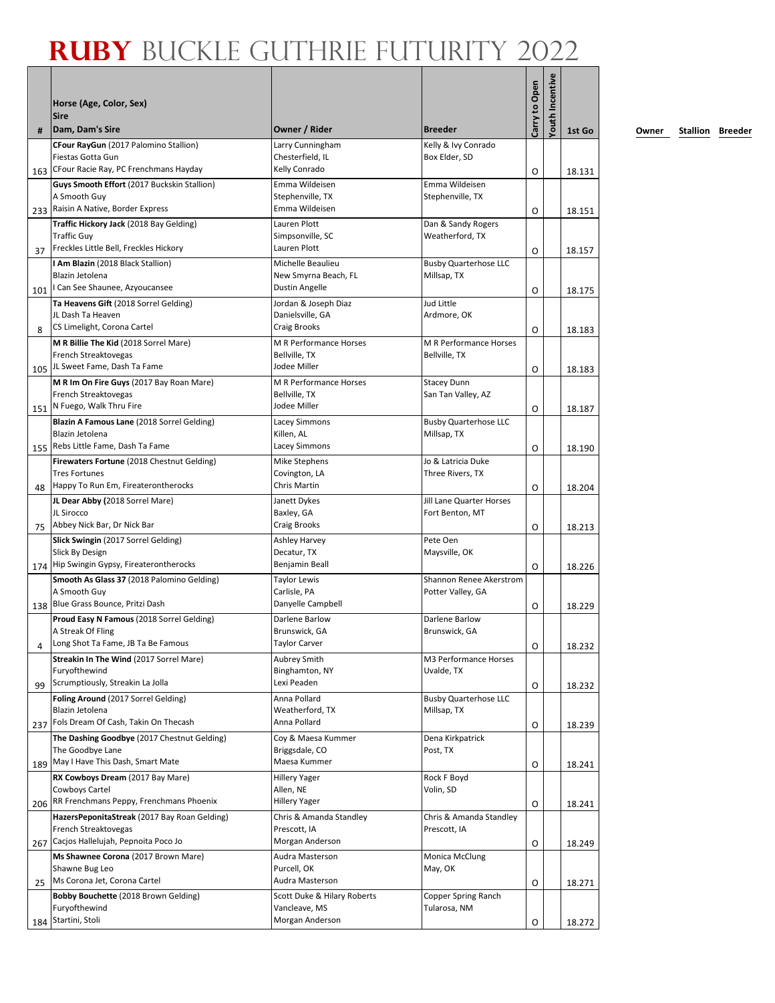|            | Horse (Age, Color, Sex)<br><b>Sire</b>                                                                                                     |                                                                              |                                                | Carry to Open | Youth Incentive |                  |
|------------|--------------------------------------------------------------------------------------------------------------------------------------------|------------------------------------------------------------------------------|------------------------------------------------|---------------|-----------------|------------------|
| #          | Dam, Dam's Sire                                                                                                                            | Owner / Rider                                                                | <b>Breeder</b>                                 |               |                 | 1st Go           |
| 163        | CFour RayGun (2017 Palomino Stallion)<br>Fiestas Gotta Gun<br>CFour Racie Ray, PC Frenchmans Hayday                                        | Larry Cunningham<br>Chesterfield, IL<br>Kelly Conrado                        | Kelly & Ivy Conrado<br>Box Elder, SD           | O             |                 | 18.131           |
|            | Guys Smooth Effort (2017 Buckskin Stallion)<br>A Smooth Guy<br>233 Raisin A Native, Border Express                                         | Emma Wildeisen<br>Stephenville, TX<br>Emma Wildeisen                         | Emma Wildeisen<br>Stephenville, TX             | O             |                 | 18.151           |
| 37         | Traffic Hickory Jack (2018 Bay Gelding)<br><b>Traffic Guy</b><br>Freckles Little Bell, Freckles Hickory                                    | Lauren Plott<br>Simpsonville, SC<br>Lauren Plott                             | Dan & Sandy Rogers<br>Weatherford, TX          | O             |                 | 18.157           |
| 101        | I Am Blazin (2018 Black Stallion)<br>Blazin Jetolena<br>I Can See Shaunee, Azyoucansee                                                     | Michelle Beaulieu<br>New Smyrna Beach, FL<br>Dustin Angelle                  | <b>Busby Quarterhose LLC</b><br>Millsap, TX    | O             |                 | 18.175           |
| 8          | Ta Heavens Gift (2018 Sorrel Gelding)<br>JL Dash Ta Heaven<br>CS Limelight, Corona Cartel                                                  | Jordan & Joseph Diaz<br>Danielsville, GA<br>Craig Brooks                     | Jud Little<br>Ardmore, OK                      | O             |                 | 18.183           |
| 105        | M R Billie The Kid (2018 Sorrel Mare)<br>French Streaktovegas<br>JL Sweet Fame, Dash Ta Fame                                               | M R Performance Horses<br>Bellville, TX<br>Jodee Miller                      | <b>M R Performance Horses</b><br>Bellville, TX | O             |                 | 18.183           |
|            | M R Im On Fire Guys (2017 Bay Roan Mare)<br>French Streaktovegas<br>151 N Fuego, Walk Thru Fire                                            | M R Performance Horses<br>Bellville, TX<br>Jodee Miller                      | <b>Stacey Dunn</b><br>San Tan Valley, AZ       | O             |                 | 18.187           |
| 155        | Blazin A Famous Lane (2018 Sorrel Gelding)<br>Blazin Jetolena<br>Rebs Little Fame, Dash Ta Fame                                            | <b>Lacey Simmons</b><br>Killen, AL<br>Lacey Simmons                          | <b>Busby Quarterhose LLC</b><br>Millsap, TX    | O             |                 | 18.190           |
|            | Firewaters Fortune (2018 Chestnut Gelding)<br><b>Tres Fortunes</b><br>Happy To Run Em, Fireaterontherocks                                  | Mike Stephens<br>Covington, LA<br>Chris Martin                               | Jo & Latricia Duke<br>Three Rivers, TX         |               |                 |                  |
| 48         | JL Dear Abby (2018 Sorrel Mare)<br>JL Sirocco                                                                                              | Janett Dykes<br>Baxley, GA                                                   | Jill Lane Quarter Horses<br>Fort Benton, MT    | O             |                 | 18.204           |
| 75         | Abbey Nick Bar, Dr Nick Bar<br>Slick Swingin (2017 Sorrel Gelding)<br>Slick By Design                                                      | Craig Brooks<br>Ashley Harvey<br>Decatur, TX                                 | Pete Oen<br>Maysville, OK                      | O             |                 | 18.213           |
| 174        | Hip Swingin Gypsy, Fireaterontherocks<br>Smooth As Glass 37 (2018 Palomino Gelding)<br>A Smooth Guy                                        | Benjamin Beall<br><b>Taylor Lewis</b><br>Carlisle, PA                        | Shannon Renee Akerstrom<br>Potter Valley, GA   | O             |                 | 18.226           |
| 4          | 138 Blue Grass Bounce, Pritzi Dash<br>Proud Easy N Famous (2018 Sorrel Gelding)<br>A Streak Of Fling<br>Long Shot Ta Fame, JB Ta Be Famous | Danyelle Campbell<br>Darlene Barlow<br>Brunswick, GA<br><b>Taylor Carver</b> | Darlene Barlow<br>Brunswick, GA                | O<br>O        |                 | 18.229<br>18.232 |
| 99         | Streakin In The Wind (2017 Sorrel Mare)<br>Furyofthewind<br>Scrumptiously, Streakin La Jolla                                               | Aubrey Smith<br>Binghamton, NY<br>Lexi Peaden                                | M3 Performance Horses<br>Uvalde, TX            | O             |                 | 18.232           |
| 237        | Foling Around (2017 Sorrel Gelding)<br>Blazin Jetolena<br>Fols Dream Of Cash, Takin On Thecash                                             | Anna Pollard<br>Weatherford, TX<br>Anna Pollard                              | <b>Busby Quarterhose LLC</b><br>Millsap, TX    | O             |                 | 18.239           |
|            | The Dashing Goodbye (2017 Chestnut Gelding)<br>The Goodbye Lane<br>May I Have This Dash, Smart Mate                                        | Coy & Maesa Kummer<br>Briggsdale, CO<br>Maesa Kummer                         | Dena Kirkpatrick<br>Post, TX                   |               |                 |                  |
| 189        | RX Cowboys Dream (2017 Bay Mare)<br>Cowboys Cartel<br>RR Frenchmans Peppy, Frenchmans Phoenix                                              | <b>Hillery Yager</b><br>Allen, NE<br>Hillery Yager                           | Rock F Boyd<br>Volin, SD                       | O<br>O        |                 | 18.241           |
| 206<br>267 | HazersPeponitaStreak (2017 Bay Roan Gelding)<br>French Streaktovegas<br>Cacjos Hallelujah, Pepnoita Poco Jo                                | Chris & Amanda Standley<br>Prescott, IA<br>Morgan Anderson                   | Chris & Amanda Standley<br>Prescott, IA        | O             |                 | 18.241<br>18.249 |
|            | Ms Shawnee Corona (2017 Brown Mare)<br>Shawne Bug Leo<br>Ms Corona Jet, Corona Cartel                                                      | Audra Masterson<br>Purcell, OK<br>Audra Masterson                            | Monica McClung<br>May, OK                      |               |                 |                  |
| 25<br>184  | Bobby Bouchette (2018 Brown Gelding)<br>Furyofthewind<br>Startini, Stoli                                                                   | Scott Duke & Hilary Roberts<br>Vancleave, MS<br>Morgan Anderson              | Copper Spring Ranch<br>Tularosa, NM            | O<br>O        |                 | 18.271           |
|            |                                                                                                                                            |                                                                              |                                                |               |                 | 18.272           |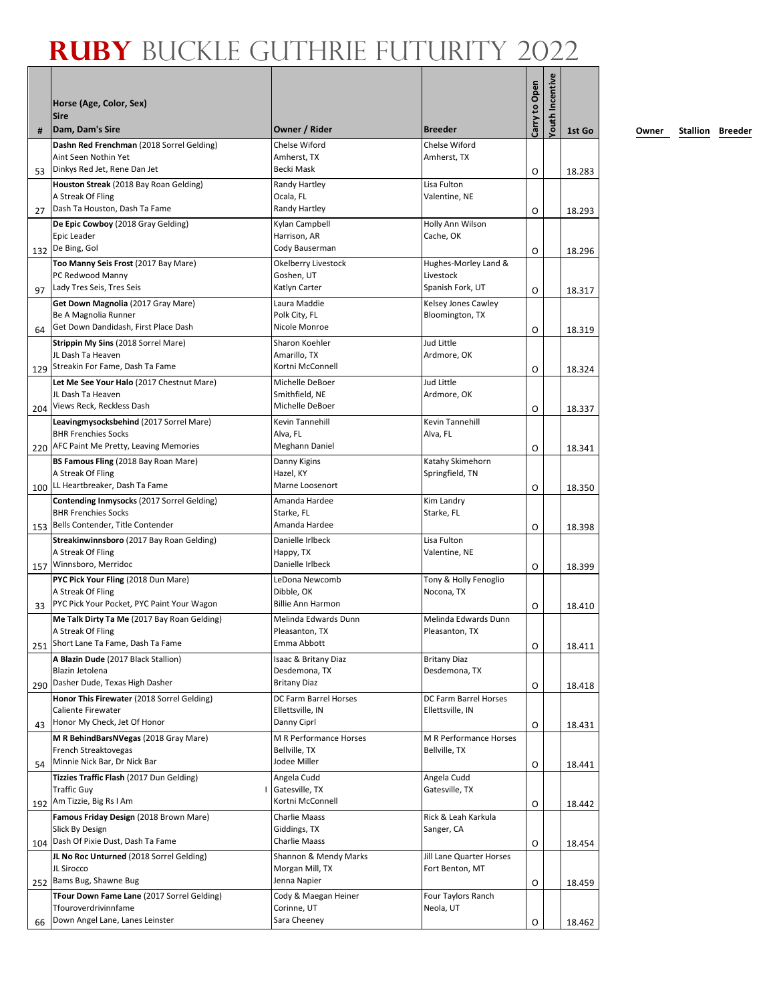|     | Horse (Age, Color, Sex)                                                  |                                        |                                        | Carry to Open | <b>routh Incentive</b> |        |
|-----|--------------------------------------------------------------------------|----------------------------------------|----------------------------------------|---------------|------------------------|--------|
|     | <b>Sire</b>                                                              |                                        |                                        |               |                        |        |
| #   | Dam, Dam's Sire<br>Dashn Red Frenchman (2018 Sorrel Gelding)             | Owner / Rider<br>Chelse Wiford         | <b>Breeder</b><br>Chelse Wiford        |               |                        | 1st Go |
|     | Aint Seen Nothin Yet                                                     | Amherst, TX                            | Amherst, TX                            |               |                        |        |
| 53  | Dinkys Red Jet, Rene Dan Jet                                             | Becki Mask                             |                                        | O             |                        | 18.283 |
|     | Houston Streak (2018 Bay Roan Gelding)<br>A Streak Of Fling              | Randy Hartley<br>Ocala, FL             | Lisa Fulton<br>Valentine, NE           |               |                        |        |
| 27  | Dash Ta Houston, Dash Ta Fame                                            | Randy Hartley                          |                                        | O             |                        | 18.293 |
|     | De Epic Cowboy (2018 Gray Gelding)                                       | Kylan Campbell                         | Holly Ann Wilson                       |               |                        |        |
|     | Epic Leader<br>132 De Bing, Gol                                          | Harrison, AR<br>Cody Bauserman         | Cache, OK                              |               |                        |        |
|     | Too Manny Seis Frost (2017 Bay Mare)                                     | Okelberry Livestock                    | Hughes-Morley Land &                   | O             |                        | 18.296 |
|     | PC Redwood Manny                                                         | Goshen, UT                             | Livestock                              |               |                        |        |
| 97  | Lady Tres Seis, Tres Seis                                                | Katlyn Carter                          | Spanish Fork, UT                       | O             |                        | 18.317 |
|     | Get Down Magnolia (2017 Gray Mare)<br>Be A Magnolia Runner               | Laura Maddie<br>Polk City, FL          | Kelsey Jones Cawley<br>Bloomington, TX |               |                        |        |
| 64  | Get Down Dandidash, First Place Dash                                     | Nicole Monroe                          |                                        | O             |                        | 18.319 |
|     | Strippin My Sins (2018 Sorrel Mare)                                      | Sharon Koehler                         | Jud Little                             |               |                        |        |
|     | JL Dash Ta Heaven<br>129 Streakin For Fame, Dash Ta Fame                 | Amarillo, TX<br>Kortni McConnell       | Ardmore, OK                            | O             |                        | 18.324 |
|     | Let Me See Your Halo (2017 Chestnut Mare)                                | Michelle DeBoer                        | Jud Little                             |               |                        |        |
|     | JL Dash Ta Heaven                                                        | Smithfield, NE<br>Michelle DeBoer      | Ardmore, OK                            |               |                        |        |
|     | 204 Views Reck, Reckless Dash<br>Leavingmysocksbehind (2017 Sorrel Mare) | <b>Kevin Tannehill</b>                 | Kevin Tannehill                        | O             |                        | 18.337 |
|     | <b>BHR Frenchies Socks</b>                                               | Alva, FL                               | Alva, FL                               |               |                        |        |
|     | 220 AFC Paint Me Pretty, Leaving Memories                                | Meghann Daniel                         |                                        | O             |                        | 18.341 |
|     | BS Famous Fling (2018 Bay Roan Mare)<br>A Streak Of Fling                | Danny Kigins<br>Hazel, KY              | Katahy Skimehorn<br>Springfield, TN    |               |                        |        |
|     | 100 LL Heartbreaker, Dash Ta Fame                                        | Marne Loosenort                        |                                        | 0             |                        | 18.350 |
|     | Contending Inmysocks (2017 Sorrel Gelding)                               | Amanda Hardee                          | Kim Landry                             |               |                        |        |
|     | <b>BHR Frenchies Socks</b><br>153 Bells Contender, Title Contender       | Starke, FL<br>Amanda Hardee            | Starke, FL                             | O             |                        |        |
|     | Streakinwinnsboro (2017 Bay Roan Gelding)                                | Danielle Irlbeck                       | Lisa Fulton                            |               |                        | 18.398 |
|     | A Streak Of Fling                                                        | Happy, TX                              | Valentine, NE                          |               |                        |        |
| 157 | Winnsboro, Merridoc                                                      | Danielle Irlbeck                       |                                        | O             |                        | 18.399 |
|     | PYC Pick Your Fling (2018 Dun Mare)<br>A Streak Of Fling                 | LeDona Newcomb<br>Dibble, OK           | Tony & Holly Fenoglio<br>Nocona, TX    |               |                        |        |
| 33  | PYC Pick Your Pocket, PYC Paint Your Wagon                               | Billie Ann Harmon                      |                                        | O             |                        | 18.410 |
|     | Me Talk Dirty Ta Me (2017 Bay Roan Gelding)<br>A Streak Of Fling         | Melinda Edwards Dunn<br>Pleasanton, TX | Melinda Edwards Dunn<br>Pleasanton, TX |               |                        |        |
|     | 251 Short Lane Ta Fame, Dash Ta Fame                                     | Emma Abbott                            |                                        | O             |                        | 18.411 |
|     | A Blazin Dude (2017 Black Stallion)                                      | Isaac & Britany Diaz                   | <b>Britany Diaz</b>                    |               |                        |        |
|     | Blazin Jetolena<br>290 Dasher Dude, Texas High Dasher                    | Desdemona, TX<br><b>Britany Diaz</b>   | Desdemona, TX                          |               |                        | 18.418 |
|     | Honor This Firewater (2018 Sorrel Gelding)                               | DC Farm Barrel Horses                  | DC Farm Barrel Horses                  | O             |                        |        |
|     | Caliente Firewater                                                       | Ellettsville, IN                       | Ellettsville, IN                       |               |                        |        |
| 43  | Honor My Check, Jet Of Honor<br>M R BehindBarsNVegas (2018 Gray Mare)    | Danny Ciprl<br>M R Performance Horses  | M R Performance Horses                 | O             |                        | 18.431 |
|     | French Streaktovegas                                                     | Bellville, TX                          | Bellville, TX                          |               |                        |        |
| 54  | Minnie Nick Bar, Dr Nick Bar                                             | Jodee Miller                           |                                        | O             |                        | 18.441 |
|     | Tizzies Traffic Flash (2017 Dun Gelding)<br><b>Traffic Guy</b>           | Angela Cudd<br>Gatesville, TX          | Angela Cudd<br>Gatesville, TX          |               |                        |        |
|     | 192 Am Tizzie, Big Rs I Am                                               | Kortni McConnell                       |                                        | O             |                        | 18.442 |
|     | Famous Friday Design (2018 Brown Mare)                                   | Charlie Maass                          | Rick & Leah Karkula                    |               |                        |        |
|     | Slick By Design<br>Dash Of Pixie Dust, Dash Ta Fame                      | Giddings, TX<br>Charlie Maass          | Sanger, CA                             |               |                        |        |
| 104 | JL No Roc Unturned (2018 Sorrel Gelding)                                 | Shannon & Mendy Marks                  | Jill Lane Quarter Horses               | O             |                        | 18.454 |
|     | JL Sirocco                                                               | Morgan Mill, TX                        | Fort Benton, MT                        |               |                        |        |
| 252 | Bams Bug, Shawne Bug                                                     | Jenna Napier                           |                                        | O             |                        | 18.459 |
|     | TFour Down Fame Lane (2017 Sorrel Gelding)<br>Tfouroverdrivinnfame       | Cody & Maegan Heiner<br>Corinne, UT    | Four Taylors Ranch<br>Neola, UT        |               |                        |        |
| 66  | Down Angel Lane, Lanes Leinster                                          | Sara Cheeney                           |                                        | O             |                        | 18.462 |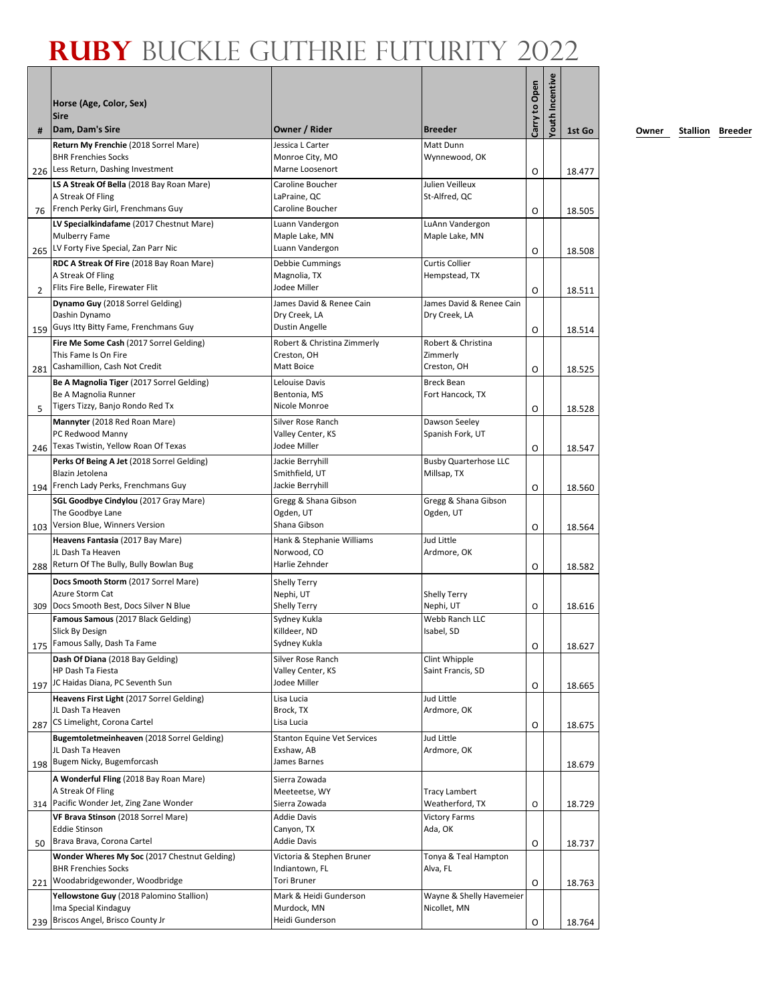|                | Horse (Age, Color, Sex)<br><b>Sire</b>                                                                 |                                                               |                                                      | Carry to Open | Youth Incentive |        |
|----------------|--------------------------------------------------------------------------------------------------------|---------------------------------------------------------------|------------------------------------------------------|---------------|-----------------|--------|
| #              | Dam, Dam's Sire                                                                                        | Owner / Rider                                                 | <b>Breeder</b>                                       |               |                 | 1st Go |
| 226            | Return My Frenchie (2018 Sorrel Mare)<br><b>BHR Frenchies Socks</b><br>Less Return, Dashing Investment | Jessica L Carter<br>Monroe City, MO<br>Marne Loosenort        | Matt Dunn<br>Wynnewood, OK                           | O             |                 | 18.477 |
| 76             | LS A Streak Of Bella (2018 Bay Roan Mare)<br>A Streak Of Fling<br>French Perky Girl, Frenchmans Guy    | Caroline Boucher<br>LaPraine, QC<br>Caroline Boucher          | Julien Veilleux<br>St-Alfred, QC                     | O             |                 | 18.505 |
|                | LV Specialkindafame (2017 Chestnut Mare)<br>Mulberry Fame<br>265 LV Forty Five Special, Zan Parr Nic   | Luann Vandergon<br>Maple Lake, MN<br>Luann Vandergon          | LuAnn Vandergon<br>Maple Lake, MN                    | O             |                 | 18.508 |
| $\overline{2}$ | RDC A Streak Of Fire (2018 Bay Roan Mare)<br>A Streak Of Fling<br>Flits Fire Belle, Firewater Flit     | Debbie Cummings<br>Magnolia, TX<br>Jodee Miller               | <b>Curtis Collier</b><br>Hempstead, TX               | O             |                 | 18.511 |
|                | Dynamo Guy (2018 Sorrel Gelding)<br>Dashin Dynamo<br>Guys Itty Bitty Fame, Frenchmans Guy              | James David & Renee Cain<br>Dry Creek, LA<br>Dustin Angelle   | James David & Renee Cain<br>Dry Creek, LA            |               |                 |        |
| 159            | Fire Me Some Cash (2017 Sorrel Gelding)<br>This Fame Is On Fire                                        | Robert & Christina Zimmerly<br>Creston, OH                    | Robert & Christina<br>Zimmerly                       | O             |                 | 18.514 |
| 281            | Cashamillion, Cash Not Credit<br>Be A Magnolia Tiger (2017 Sorrel Gelding)<br>Be A Magnolia Runner     | <b>Matt Boice</b><br>Lelouise Davis<br>Bentonia, MS           | Creston, OH<br><b>Breck Bean</b><br>Fort Hancock, TX | O             |                 | 18.525 |
| 5              | Tigers Tizzy, Banjo Rondo Red Tx<br>Mannyter (2018 Red Roan Mare)<br>PC Redwood Manny                  | Nicole Monroe<br>Silver Rose Ranch<br>Valley Center, KS       | Dawson Seeley<br>Spanish Fork, UT                    | O             |                 | 18.528 |
| 246            | Texas Twistin, Yellow Roan Of Texas<br>Perks Of Being A Jet (2018 Sorrel Gelding)                      | Jodee Miller<br>Jackie Berryhill                              | <b>Busby Quarterhose LLC</b>                         | O             |                 | 18.547 |
| 194            | Blazin Jetolena<br>French Lady Perks, Frenchmans Guy<br>SGL Goodbye Cindylou (2017 Gray Mare)          | Smithfield, UT<br>Jackie Berryhill<br>Gregg & Shana Gibson    | Millsap, TX<br>Gregg & Shana Gibson                  | O             |                 | 18.560 |
| 103            | The Goodbye Lane<br>Version Blue, Winners Version                                                      | Ogden, UT<br>Shana Gibson                                     | Ogden, UT                                            | O             |                 | 18.564 |
| 288            | Heavens Fantasia (2017 Bay Mare)<br>JL Dash Ta Heaven<br>Return Of The Bully, Bully Bowlan Bug         | Hank & Stephanie Williams<br>Norwood, CO<br>Harlie Zehnder    | Jud Little<br>Ardmore, OK                            | O             |                 | 18.582 |
| 309            | Docs Smooth Storm (2017 Sorrel Mare)<br>Azure Storm Cat<br>Docs Smooth Best, Docs Silver N Blue        | <b>Shelly Terry</b><br>Nephi, UT<br><b>Shelly Terry</b>       | <b>Shelly Terry</b><br>Nephi, UT                     | O             |                 | 18.616 |
|                | Famous Samous (2017 Black Gelding)<br>Slick By Design<br>175 Famous Sally, Dash Ta Fame                | Sydney Kukla<br>Killdeer, ND<br>Sydney Kukla                  | Webb Ranch LLC<br>Isabel, SD                         | O             |                 | 18.627 |
| 197            | Dash Of Diana (2018 Bay Gelding)<br>HP Dash Ta Fiesta<br>JC Haidas Diana, PC Seventh Sun               | Silver Rose Ranch<br>Valley Center, KS<br>Jodee Miller        | Clint Whipple<br>Saint Francis, SD                   | O             |                 | 18.665 |
|                | Heavens First Light (2017 Sorrel Gelding)<br>JL Dash Ta Heaven<br>CS Limelight, Corona Cartel          | Lisa Lucia<br>Brock, TX<br>Lisa Lucia                         | Jud Little<br>Ardmore, OK                            |               |                 |        |
| 287            | Bugemtoletmeinheaven (2018 Sorrel Gelding)<br>JL Dash Ta Heaven                                        | <b>Stanton Equine Vet Services</b><br>Exshaw, AB              | Jud Little<br>Ardmore, OK                            | O             |                 | 18.675 |
|                | 198 Bugem Nicky, Bugemforcash<br>A Wonderful Fling (2018 Bay Roan Mare)<br>A Streak Of Fling           | James Barnes<br>Sierra Zowada<br>Meeteetse, WY                | <b>Tracy Lambert</b>                                 |               |                 | 18.679 |
|                | 314 Pacific Wonder Jet, Zing Zane Wonder<br>VF Brava Stinson (2018 Sorrel Mare)                        | Sierra Zowada<br><b>Addie Davis</b>                           | Weatherford, TX<br><b>Victory Farms</b>              | O             |                 | 18.729 |
| 50             | <b>Eddie Stinson</b><br>Brava Brava, Corona Cartel<br>Wonder Wheres My Soc (2017 Chestnut Gelding)     | Canyon, TX<br><b>Addie Davis</b><br>Victoria & Stephen Bruner | Ada, OK<br>Tonya & Teal Hampton                      | O             |                 | 18.737 |
| 221            | <b>BHR Frenchies Socks</b><br>Woodabridgewonder, Woodbridge                                            | Indiantown, FL<br><b>Tori Bruner</b>                          | Alva, FL                                             | O             |                 | 18.763 |
| 239            | Yellowstone Guy (2018 Palomino Stallion)<br>Ima Special Kindaguy<br>Briscos Angel, Brisco County Jr    | Mark & Heidi Gunderson<br>Murdock, MN<br>Heidi Gunderson      | Wayne & Shelly Havemeier<br>Nicollet, MN             | O             |                 | 18.764 |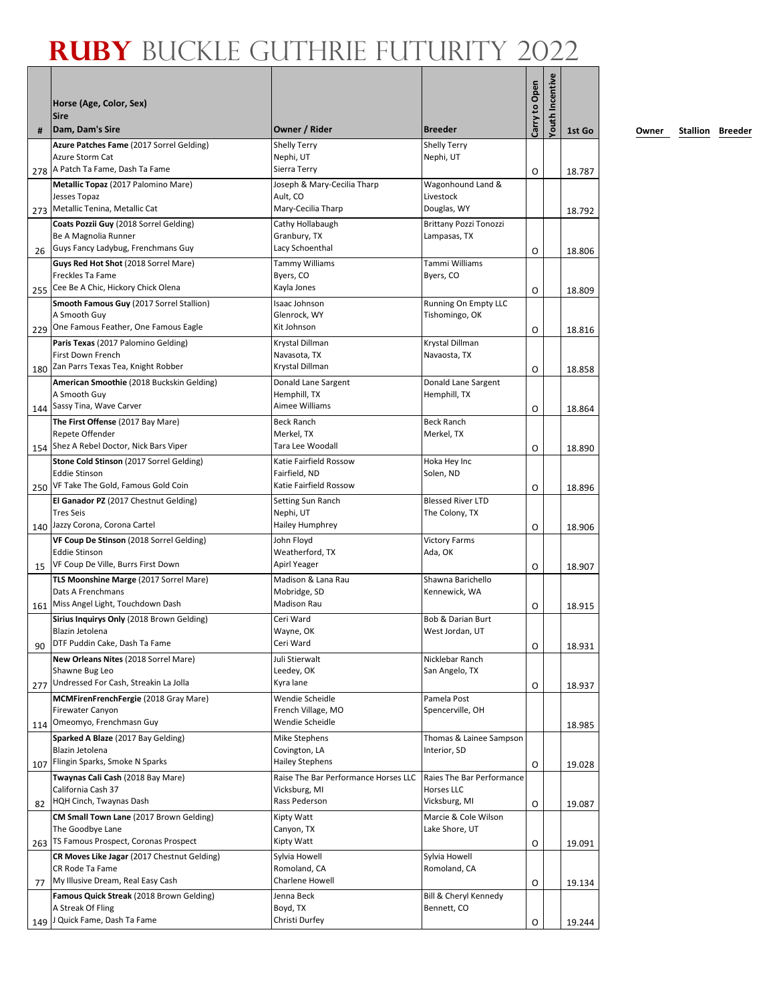|     | Horse (Age, Color, Sex)                                                                            |                                                       |                                                | Carry to Open | <b>routh Incentive</b> |        |
|-----|----------------------------------------------------------------------------------------------------|-------------------------------------------------------|------------------------------------------------|---------------|------------------------|--------|
| #   | <b>Sire</b><br>Dam, Dam's Sire                                                                     | Owner / Rider                                         | <b>Breeder</b>                                 |               |                        | 1st Go |
|     | Azure Patches Fame (2017 Sorrel Gelding)<br>Azure Storm Cat                                        | <b>Shelly Terry</b><br>Nephi, UT                      | <b>Shelly Terry</b><br>Nephi, UT               |               |                        |        |
|     | 278   A Patch Ta Fame, Dash Ta Fame<br>Metallic Topaz (2017 Palomino Mare)                         | Sierra Terry<br>Joseph & Mary-Cecilia Tharp           | Wagonhound Land &                              | O             |                        | 18.787 |
| 273 | Jesses Topaz<br>Metallic Tenina, Metallic Cat                                                      | Ault, CO<br>Mary-Cecilia Tharp                        | Livestock<br>Douglas, WY                       |               |                        | 18.792 |
|     | Coats Pozzii Guy (2018 Sorrel Gelding)<br>Be A Magnolia Runner                                     | Cathy Hollabaugh<br>Granbury, TX                      | <b>Brittany Pozzi Tonozzi</b><br>Lampasas, TX  |               |                        |        |
| 26  | Guys Fancy Ladybug, Frenchmans Guy<br>Guys Red Hot Shot (2018 Sorrel Mare)                         | Lacy Schoenthal<br>Tammy Williams                     | Tammi Williams                                 | O             |                        | 18.806 |
|     | Freckles Ta Fame                                                                                   | Byers, CO                                             | Byers, CO                                      |               |                        |        |
| 255 | Cee Be A Chic, Hickory Chick Olena                                                                 | Kayla Jones                                           |                                                | O             |                        | 18.809 |
|     | Smooth Famous Guy (2017 Sorrel Stallion)<br>A Smooth Guy                                           | Isaac Johnson<br>Glenrock, WY                         | Running On Empty LLC<br>Tishomingo, OK         |               |                        |        |
| 229 | One Famous Feather, One Famous Eagle                                                               | Kit Johnson                                           |                                                | O             |                        | 18.816 |
|     | Paris Texas (2017 Palomino Gelding)<br>First Down French<br>180 Zan Parrs Texas Tea, Knight Robber | Krystal Dillman<br>Navasota, TX<br>Krystal Dillman    | Krystal Dillman<br>Navaosta, TX                |               |                        |        |
|     | American Smoothie (2018 Buckskin Gelding)                                                          | Donald Lane Sargent                                   | Donald Lane Sargent                            | O             |                        | 18.858 |
|     | A Smooth Guy                                                                                       | Hemphill, TX                                          | Hemphill, TX                                   |               |                        |        |
|     | 144 Sassy Tina, Wave Carver                                                                        | Aimee Williams                                        |                                                | O             |                        | 18.864 |
|     | The First Offense (2017 Bay Mare)<br>Repete Offender                                               | <b>Beck Ranch</b><br>Merkel, TX                       | <b>Beck Ranch</b><br>Merkel, TX                |               |                        |        |
|     | 154 Shez A Rebel Doctor, Nick Bars Viper                                                           | Tara Lee Woodall                                      |                                                | O             |                        | 18.890 |
|     | Stone Cold Stinson (2017 Sorrel Gelding)                                                           | Katie Fairfield Rossow                                | Hoka Hey Inc                                   |               |                        |        |
|     | <b>Eddie Stinson</b>                                                                               | Fairfield, ND                                         | Solen, ND                                      |               |                        |        |
| 250 | VF Take The Gold, Famous Gold Coin                                                                 | Katie Fairfield Rossow                                | <b>Blessed River LTD</b>                       | O             |                        | 18.896 |
|     | El Ganador PZ (2017 Chestnut Gelding)<br><b>Tres Seis</b>                                          | Setting Sun Ranch<br>Nephi, UT                        | The Colony, TX                                 |               |                        |        |
|     | 140 Jazzy Corona, Corona Cartel                                                                    | Hailey Humphrey                                       |                                                | O             |                        | 18.906 |
|     | VF Coup De Stinson (2018 Sorrel Gelding)                                                           | John Floyd                                            | <b>Victory Farms</b>                           |               |                        |        |
|     | <b>Eddie Stinson</b><br>VF Coup De Ville, Burrs First Down                                         | Weatherford, TX<br>Apirl Yeager                       | Ada, OK                                        |               |                        |        |
| 15  | TLS Moonshine Marge (2017 Sorrel Mare)                                                             | Madison & Lana Rau                                    | Shawna Barichello                              | O             |                        | 18.907 |
|     | Dats A Frenchmans                                                                                  | Mobridge, SD                                          | Kennewick, WA                                  |               |                        |        |
| 161 | Miss Angel Light, Touchdown Dash                                                                   | <b>Madison Rau</b>                                    |                                                | O             |                        | 18.915 |
|     | Sirius Inquirys Only (2018 Brown Gelding)                                                          | Ceri Ward                                             | Bob & Darian Burt                              |               |                        |        |
| 90  | Blazin Jetolena<br>DTF Puddin Cake, Dash Ta Fame                                                   | Wayne, OK<br>Ceri Ward                                | West Jordan, UT                                | 0             |                        | 18.931 |
|     | New Orleans Nites (2018 Sorrel Mare)                                                               | Juli Stierwalt                                        | Nicklebar Ranch                                |               |                        |        |
|     | Shawne Bug Leo                                                                                     | Leedey, OK                                            | San Angelo, TX                                 |               |                        |        |
| 277 | Undressed For Cash, Streakin La Jolla                                                              | Kyra lane                                             |                                                | O             |                        | 18.937 |
|     | MCMFirenFrenchFergie (2018 Gray Mare)<br><b>Firewater Canyon</b>                                   | Wendie Scheidle<br>French Village, MO                 | Pamela Post<br>Spencerville, OH                |               |                        |        |
| 114 | Omeomyo, Frenchmasn Guy                                                                            | Wendie Scheidle                                       |                                                |               |                        | 18.985 |
|     | Sparked A Blaze (2017 Bay Gelding)                                                                 | Mike Stephens                                         | Thomas & Lainee Sampson                        |               |                        |        |
|     | Blazin Jetolena                                                                                    | Covington, LA                                         | Interior, SD                                   |               |                        |        |
|     | 107 Flingin Sparks, Smoke N Sparks                                                                 | <b>Hailey Stephens</b>                                |                                                | O             |                        | 19.028 |
|     | Twaynas Cali Cash (2018 Bay Mare)<br>California Cash 37                                            | Raise The Bar Performance Horses LLC<br>Vicksburg, MI | Raies The Bar Performance<br><b>Horses LLC</b> |               |                        |        |
| 82  | HQH Cinch, Twaynas Dash                                                                            | Rass Pederson                                         | Vicksburg, MI                                  | O             |                        | 19.087 |
|     | CM Small Town Lane (2017 Brown Gelding)                                                            | Kipty Watt                                            | Marcie & Cole Wilson                           |               |                        |        |
|     | The Goodbye Lane<br>TS Famous Prospect, Coronas Prospect                                           | Canyon, TX                                            | Lake Shore, UT                                 |               |                        |        |
| 263 | CR Moves Like Jagar (2017 Chestnut Gelding)                                                        | Kipty Watt<br>Sylvia Howell                           | Sylvia Howell                                  | O             |                        | 19.091 |
|     | CR Rode Ta Fame                                                                                    | Romoland, CA                                          | Romoland, CA                                   |               |                        |        |
| 77  | My Illusive Dream, Real Easy Cash                                                                  | Charlene Howell                                       |                                                | O             |                        | 19.134 |
|     | Famous Quick Streak (2018 Brown Gelding)                                                           | Jenna Beck                                            | Bill & Cheryl Kennedy                          |               |                        |        |
|     | A Streak Of Fling<br>J Quick Fame, Dash Ta Fame                                                    | Boyd, TX<br>Christi Durfey                            | Bennett, CO                                    |               |                        |        |
| 149 |                                                                                                    |                                                       |                                                | O             |                        | 19.244 |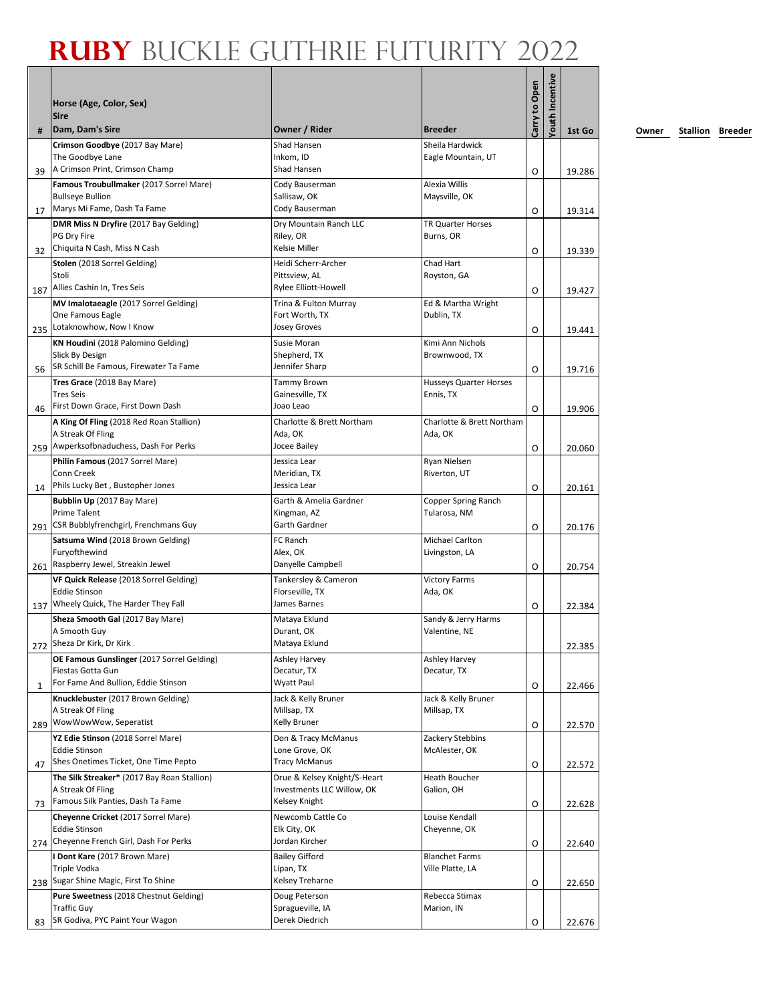|     | Horse (Age, Color, Sex)<br><b>Sire</b>                                                                                                  |                                                                                    |                                           | Carry to Open | Youth Incentive |                  |
|-----|-----------------------------------------------------------------------------------------------------------------------------------------|------------------------------------------------------------------------------------|-------------------------------------------|---------------|-----------------|------------------|
| #   | Dam, Dam's Sire                                                                                                                         | Owner / Rider                                                                      | <b>Breeder</b>                            |               |                 | 1st Go           |
| 39  | Crimson Goodbye (2017 Bay Mare)<br>The Goodbye Lane<br>A Crimson Print, Crimson Champ                                                   | Shad Hansen<br>Inkom, ID<br>Shad Hansen                                            | Sheila Hardwick<br>Eagle Mountain, UT     | O             |                 | 19.286           |
| 17  | Famous Troubullmaker (2017 Sorrel Mare)<br><b>Bullseye Bullion</b><br>Marys Mi Fame, Dash Ta Fame                                       | Cody Bauserman<br>Sallisaw, OK<br>Cody Bauserman                                   | Alexia Willis<br>Maysville, OK            | O             |                 | 19.314           |
| 32  | DMR Miss N Dryfire (2017 Bay Gelding)<br>PG Dry Fire<br>Chiquita N Cash, Miss N Cash                                                    | Dry Mountain Ranch LLC<br>Riley, OR<br>Kelsie Miller                               | <b>TR Quarter Horses</b><br>Burns, OR     | O             |                 | 19.339           |
| 187 | Stolen (2018 Sorrel Gelding)<br>Stoli<br>Allies Cashin In, Tres Seis                                                                    | Heidi Scherr-Archer<br>Pittsview, AL<br>Rylee Elliott-Howell                       | Chad Hart<br>Royston, GA                  | O             |                 |                  |
|     | MV Imalotaeagle (2017 Sorrel Gelding)<br>One Famous Eagle<br>Lotaknowhow, Now I Know                                                    | Trina & Fulton Murray<br>Fort Worth, TX<br>Josey Groves                            | Ed & Martha Wright<br>Dublin, TX          |               |                 | 19.427           |
| 235 | KN Houdini (2018 Palomino Gelding)<br>Slick By Design<br>SR Schill Be Famous, Firewater Ta Fame                                         | Susie Moran<br>Shepherd, TX<br>Jennifer Sharp                                      | Kimi Ann Nichols<br>Brownwood, TX         | O             |                 | 19.441           |
| 56  | Tres Grace (2018 Bay Mare)<br><b>Tres Seis</b><br>First Down Grace, First Down Dash                                                     | <b>Tammy Brown</b><br>Gainesville, TX<br>Joao Leao                                 | Husseys Quarter Horses<br>Ennis, TX       | O             |                 | 19.716           |
| 46  | A King Of Fling (2018 Red Roan Stallion)<br>A Streak Of Fling<br>Awperksofbnaduchess, Dash For Perks                                    | Charlotte & Brett Northam<br>Ada, OK<br>Jocee Bailey                               | Charlotte & Brett Northam<br>Ada, OK      | O             |                 | 19.906           |
| 259 | Philin Famous (2017 Sorrel Mare)<br>Conn Creek<br>Phils Lucky Bet, Bustopher Jones                                                      | Jessica Lear<br>Meridian, TX<br>Jessica Lear                                       | Ryan Nielsen<br>Riverton, UT              | O             |                 | 20.060           |
| 14  | Bubblin Up (2017 Bay Mare)<br>Prime Talent                                                                                              | Garth & Amelia Gardner<br>Kingman, AZ                                              | Copper Spring Ranch<br>Tularosa, NM       | O             |                 | 20.161           |
| 291 | CSR Bubblyfrenchgirl, Frenchmans Guy<br>Satsuma Wind (2018 Brown Gelding)<br>Furyofthewind                                              | Garth Gardner<br>FC Ranch<br>Alex, OK                                              | Michael Carlton<br>Livingston, LA         | O             |                 | 20.176           |
| 261 | Raspberry Jewel, Streakin Jewel<br>VF Quick Release (2018 Sorrel Gelding)<br><b>Eddie Stinson</b><br>Wheely Quick, The Harder They Fall | Danyelle Campbell<br>Tankersley & Cameron<br>Florseville, TX<br>James Barnes       | <b>Victory Farms</b><br>Ada, OK           | O             |                 | 20.754           |
| 137 | Sheza Smooth Gal (2017 Bay Mare)<br>A Smooth Guv<br>272 Sheza Dr Kirk, Dr Kirk                                                          | Mataya Eklund<br>Durant, OK<br>Mataya Eklund                                       | Sandy & Jerry Harms<br>Valentine, NE      | O             |                 | 22.384<br>22.385 |
| 1   | OE Famous Gunslinger (2017 Sorrel Gelding)<br>Fiestas Gotta Gun<br>For Fame And Bullion, Eddie Stinson                                  | <b>Ashley Harvey</b><br>Decatur, TX<br>Wyatt Paul                                  | Ashley Harvey<br>Decatur, TX              | O             |                 | 22.466           |
| 289 | Knucklebuster (2017 Brown Gelding)<br>A Streak Of Fling<br>WowWowWow, Seperatist                                                        | Jack & Kelly Bruner<br>Millsap, TX<br><b>Kelly Bruner</b>                          | Jack & Kelly Bruner<br>Millsap, TX        | O             |                 | 22.570           |
| 47  | YZ Edie Stinson (2018 Sorrel Mare)<br><b>Eddie Stinson</b><br>Shes Onetimes Ticket, One Time Pepto                                      | Don & Tracy McManus<br>Lone Grove, OK<br><b>Tracy McManus</b>                      | Zackery Stebbins<br>McAlester, OK         | O             |                 | 22.572           |
| 73  | The Silk Streaker* (2017 Bay Roan Stallion)<br>A Streak Of Fling<br>Famous Silk Panties, Dash Ta Fame                                   | Drue & Kelsey Knight/S-Heart<br>Investments LLC Willow, OK<br><b>Kelsey Knight</b> | Heath Boucher<br>Galion, OH               |               |                 |                  |
|     | Cheyenne Cricket (2017 Sorrel Mare)<br><b>Eddie Stinson</b><br>Cheyenne French Girl, Dash For Perks                                     | Newcomb Cattle Co<br>Elk City, OK<br>Jordan Kircher                                | Louise Kendall<br>Cheyenne, OK            | O             |                 | 22.628           |
| 274 | I Dont Kare (2017 Brown Mare)<br>Triple Vodka                                                                                           | <b>Bailey Gifford</b><br>Lipan, TX                                                 | <b>Blanchet Farms</b><br>Ville Platte, LA | O             |                 | 22.640           |
| 238 | Sugar Shine Magic, First To Shine<br>Pure Sweetness (2018 Chestnut Gelding)<br><b>Traffic Guy</b>                                       | Kelsey Treharne<br>Doug Peterson<br>Spragueville, IA                               | Rebecca Stimax<br>Marion, IN              | O             |                 | 22.650           |
| 83  | SR Godiva, PYC Paint Your Wagon                                                                                                         | Derek Diedrich                                                                     |                                           | O             |                 | 22.676           |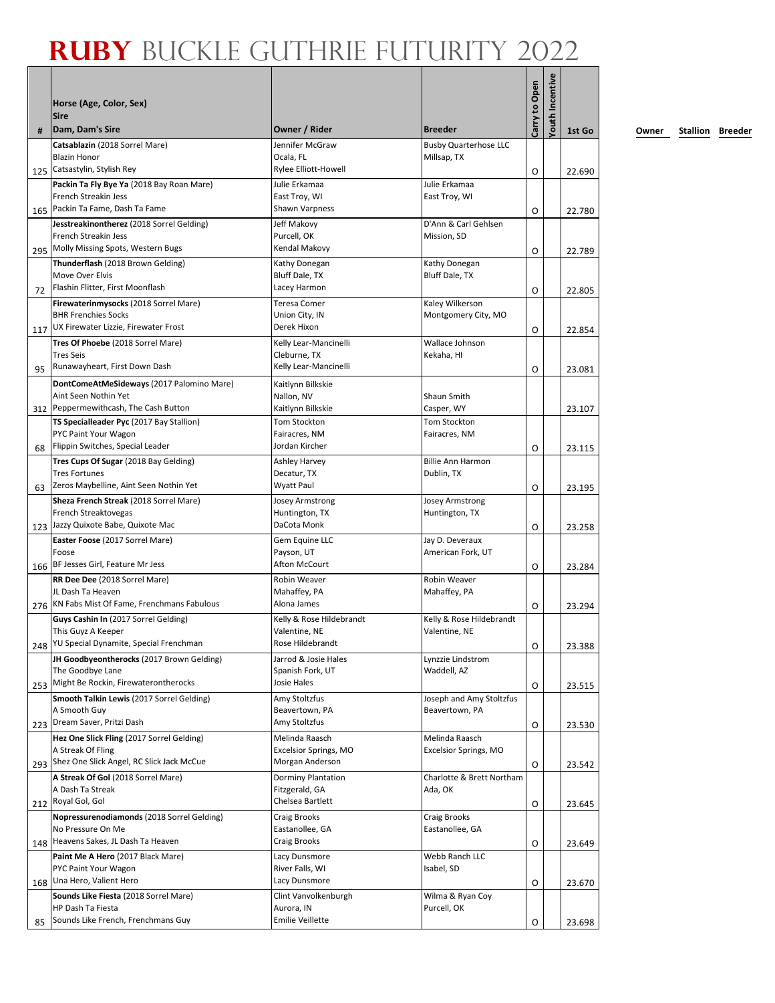|           | Horse (Age, Color, Sex)<br><b>Sire</b>                                                                          |                                                                |                                             | Carry to Open | Youth Incentive |                  |
|-----------|-----------------------------------------------------------------------------------------------------------------|----------------------------------------------------------------|---------------------------------------------|---------------|-----------------|------------------|
| #         | Dam, Dam's Sire                                                                                                 | Owner / Rider                                                  | <b>Breeder</b>                              |               |                 | 1st Go           |
| 125       | Catsablazin (2018 Sorrel Mare)<br><b>Blazin Honor</b><br>Catsastylin, Stylish Rey                               | Jennifer McGraw<br>Ocala, FL<br>Rylee Elliott-Howell           | <b>Busby Quarterhose LLC</b><br>Millsap, TX | O             |                 | 22.690           |
| 165       | Packin Ta Fly Bye Ya (2018 Bay Roan Mare)<br>French Streakin Jess<br>Packin Ta Fame, Dash Ta Fame               | Julie Erkamaa<br>East Troy, WI<br>Shawn Varpness               | Julie Erkamaa<br>East Troy, WI              | O             |                 | 22.780           |
|           | Jesstreakinontherez (2018 Sorrel Gelding)<br>French Streakin Jess<br>295 Molly Missing Spots, Western Bugs      | Jeff Makovy<br>Purcell, OK<br>Kendal Makovy                    | D'Ann & Carl Gehlsen<br>Mission, SD         | O             |                 | 22.789           |
| 72        | Thunderflash (2018 Brown Gelding)<br>Move Over Elvis<br>Flashin Flitter, First Moonflash                        | Kathy Donegan<br>Bluff Dale, TX<br>Lacey Harmon                | Kathy Donegan<br>Bluff Dale, TX             | O             |                 | 22.805           |
| 117       | Firewaterinmysocks (2018 Sorrel Mare)<br><b>BHR Frenchies Socks</b><br>UX Firewater Lizzie, Firewater Frost     | <b>Teresa Comer</b><br>Union City, IN<br>Derek Hixon           | Kaley Wilkerson<br>Montgomery City, MO      | O             |                 | 22.854           |
| 95        | Tres Of Phoebe (2018 Sorrel Mare)<br><b>Tres Seis</b><br>Runawayheart, First Down Dash                          | Kelly Lear-Mancinelli<br>Cleburne, TX<br>Kelly Lear-Mancinelli | Wallace Johnson<br>Kekaha, HI               | O             |                 | 23.081           |
|           | DontComeAtMeSideways (2017 Palomino Mare)<br>Aint Seen Nothin Yet<br>312 Peppermewithcash, The Cash Button      | Kaitlynn Bilkskie<br>Nallon, NV<br>Kaitlynn Bilkskie           | Shaun Smith<br>Casper, WY                   |               |                 | 23.107           |
| 68        | TS Specialleader Pyc (2017 Bay Stallion)<br>PYC Paint Your Wagon<br>Flippin Switches, Special Leader            | Tom Stockton<br>Fairacres, NM<br>Jordan Kircher                | Tom Stockton<br>Fairacres, NM               | O             |                 | 23.115           |
| 63        | Tres Cups Of Sugar (2018 Bay Gelding)<br><b>Tres Fortunes</b><br>Zeros Maybelline, Aint Seen Nothin Yet         | Ashley Harvey<br>Decatur, TX<br>Wyatt Paul                     | <b>Billie Ann Harmon</b><br>Dublin, TX      | O             |                 | 23.195           |
| 123       | Sheza French Streak (2018 Sorrel Mare)<br>French Streaktovegas<br>Jazzy Quixote Babe, Quixote Mac               | Josey Armstrong<br>Huntington, TX<br>DaCota Monk               | Josey Armstrong<br>Huntington, TX           | O             |                 | 23.258           |
| 166       | Easter Foose (2017 Sorrel Mare)<br>Foose<br>BF Jesses Girl, Feature Mr Jess                                     | Gem Equine LLC<br>Payson, UT<br>Afton McCourt                  | Jay D. Deveraux<br>American Fork, UT        | O             |                 | 23.284           |
|           | RR Dee Dee (2018 Sorrel Mare)<br>JL Dash Ta Heaven<br>276 KN Fabs Mist Of Fame, Frenchmans Fabulous             | Robin Weaver<br>Mahaffey, PA<br>Alona James                    | Robin Weaver<br>Mahaffey, PA                | O             |                 | 23.294           |
|           | Guys Cashin In (2017 Sorrel Gelding)<br>This Guvz A Keeper<br>248 YU Special Dynamite, Special Frenchman        | Kelly & Rose Hildebrandt<br>Valentine. NE<br>Rose Hildebrandt  | Kelly & Rose Hildebrandt<br>Valentine, NE   | O             |                 | 23.388           |
| 253       | JH Goodbyeontherocks (2017 Brown Gelding)<br>The Goodbye Lane<br>Might Be Rockin, Firewaterontherocks           | Jarrod & Josie Hales<br>Spanish Fork, UT<br>Josie Hales        | Lynzzie Lindstrom<br>Waddell, AZ            | O             |                 | 23.515           |
| 223       | Smooth Talkin Lewis (2017 Sorrel Gelding)<br>A Smooth Guy<br>Dream Saver, Pritzi Dash                           | Amy Stoltzfus<br>Beavertown, PA<br>Amy Stoltzfus               | Joseph and Amy Stoltzfus<br>Beavertown, PA  | O             |                 | 23.530           |
|           | Hez One Slick Fling (2017 Sorrel Gelding)<br>A Streak Of Fling<br>293 Shez One Slick Angel, RC Slick Jack McCue | Melinda Raasch<br>Excelsior Springs, MO<br>Morgan Anderson     | Melinda Raasch<br>Excelsior Springs, MO     | O             |                 | 23.542           |
| 212       | A Streak Of Gol (2018 Sorrel Mare)<br>A Dash Ta Streak<br>Royal Gol, Gol                                        | Dorminy Plantation<br>Fitzgerald, GA<br>Chelsea Bartlett       | Charlotte & Brett Northam<br>Ada, OK        | O             |                 | 23.645           |
| 148       | Nopressurenodiamonds (2018 Sorrel Gelding)<br>No Pressure On Me<br>Heavens Sakes, JL Dash Ta Heaven             | <b>Craig Brooks</b><br>Eastanollee, GA<br>Craig Brooks         | Craig Brooks<br>Eastanollee, GA             | O             |                 | 23.649           |
|           | Paint Me A Hero (2017 Black Mare)<br>PYC Paint Your Wagon<br>Una Hero, Valient Hero                             | Lacy Dunsmore<br>River Falls, WI<br>Lacy Dunsmore              | Webb Ranch LLC<br>Isabel, SD                |               |                 |                  |
| 168<br>85 | Sounds Like Fiesta (2018 Sorrel Mare)<br>HP Dash Ta Fiesta<br>Sounds Like French, Frenchmans Guy                | Clint Vanvolkenburgh<br>Aurora, IN<br><b>Emilie Veillette</b>  | Wilma & Ryan Coy<br>Purcell, OK             | O<br>O        |                 | 23.670<br>23.698 |
|           |                                                                                                                 |                                                                |                                             |               |                 |                  |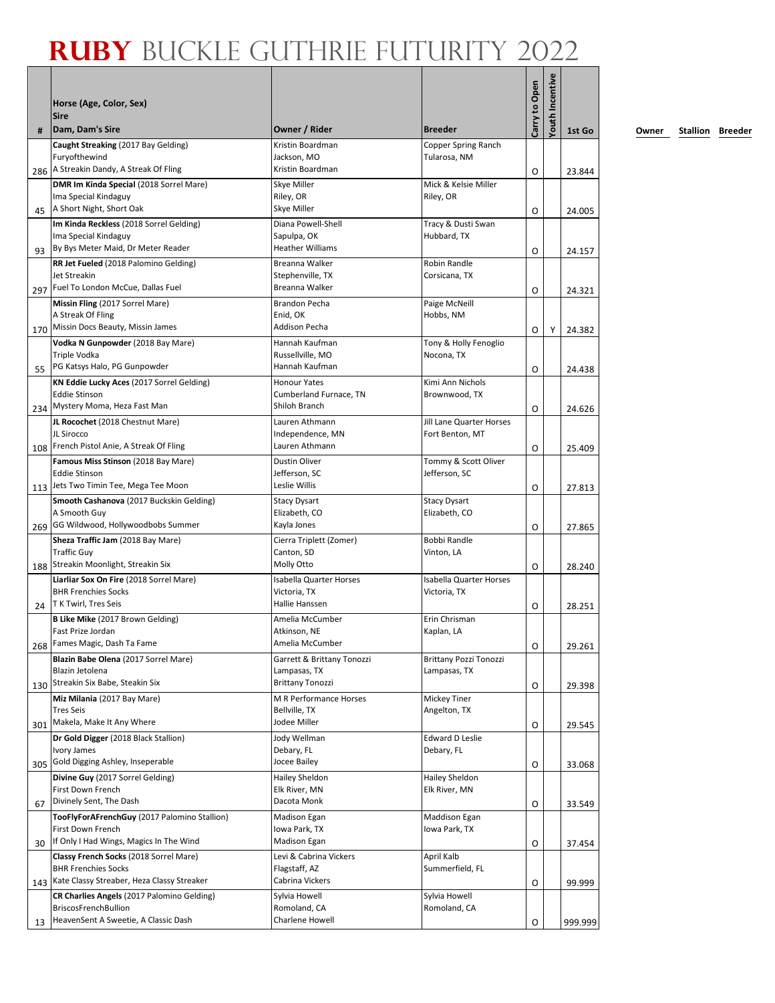|     | Horse (Age, Color, Sex)<br><b>Sire</b>                                   |                                         |                                      | Carry to Open | Youth Incentive |         |
|-----|--------------------------------------------------------------------------|-----------------------------------------|--------------------------------------|---------------|-----------------|---------|
| #   | Dam, Dam's Sire                                                          | Owner / Rider                           | <b>Breeder</b>                       |               |                 | 1st Go  |
|     | Caught Streaking (2017 Bay Gelding)<br>Furyofthewind                     | Kristin Boardman<br>Jackson, MO         | Copper Spring Ranch<br>Tularosa, NM  |               |                 |         |
| 286 | A Streakin Dandy, A Streak Of Fling                                      | Kristin Boardman                        |                                      | O             |                 | 23.844  |
|     | DMR Im Kinda Special (2018 Sorrel Mare)<br>Ima Special Kindaguy          | Skye Miller<br>Riley, OR                | Mick & Kelsie Miller<br>Riley, OR    |               |                 |         |
| 45  | A Short Night, Short Oak                                                 | Skye Miller                             |                                      | O             |                 | 24.005  |
|     | Im Kinda Reckless (2018 Sorrel Gelding)                                  | Diana Powell-Shell                      | Tracy & Dusti Swan                   |               |                 |         |
|     | Ima Special Kindaguy<br>By Bys Meter Maid, Dr Meter Reader               | Sapulpa, OK<br><b>Heather Williams</b>  | Hubbard, TX                          |               |                 |         |
| 93  | RR Jet Fueled (2018 Palomino Gelding)                                    | Breanna Walker                          | Robin Randle                         | O             |                 | 24.157  |
|     | Jet Streakin                                                             | Stephenville, TX                        | Corsicana, TX                        |               |                 |         |
|     | 297 Fuel To London McCue, Dallas Fuel                                    | Breanna Walker                          |                                      | O             |                 | 24.321  |
|     | Missin Fling (2017 Sorrel Mare)                                          | <b>Brandon Pecha</b>                    | Paige McNeill                        |               |                 |         |
| 170 | A Streak Of Fling<br>Missin Docs Beauty, Missin James                    | Enid, OK<br><b>Addison Pecha</b>        | Hobbs, NM                            |               |                 |         |
|     | Vodka N Gunpowder (2018 Bay Mare)                                        | Hannah Kaufman                          | Tony & Holly Fenoglio                | O             | Y               | 24.382  |
|     | Triple Vodka                                                             | Russellville, MO                        | Nocona, TX                           |               |                 |         |
| 55  | PG Katsys Halo, PG Gunpowder                                             | Hannah Kaufman                          |                                      | O             |                 | 24.438  |
|     | KN Eddie Lucky Aces (2017 Sorrel Gelding)                                | <b>Honour Yates</b>                     | Kimi Ann Nichols                     |               |                 |         |
|     | <b>Eddie Stinson</b><br>234 Mystery Moma, Heza Fast Man                  | Cumberland Furnace, TN<br>Shiloh Branch | Brownwood, TX                        |               |                 |         |
|     | JL Rocochet (2018 Chestnut Mare)                                         | Lauren Athmann                          | <b>Jill Lane Quarter Horses</b>      | O             |                 | 24.626  |
|     | JL Sirocco                                                               | Independence, MN                        | Fort Benton, MT                      |               |                 |         |
|     | 108 French Pistol Anie, A Streak Of Fling                                | Lauren Athmann                          |                                      | O             |                 | 25.409  |
|     | Famous Miss Stinson (2018 Bay Mare)                                      | Dustin Oliver                           | Tommy & Scott Oliver                 |               |                 |         |
|     | <b>Eddie Stinson</b><br>113 Jets Two Timin Tee, Mega Tee Moon            | Jefferson, SC                           | Jefferson, SC                        |               |                 |         |
|     | Smooth Cashanova (2017 Buckskin Gelding)                                 | Leslie Willis                           |                                      | O             |                 | 27.813  |
|     | A Smooth Guy                                                             | <b>Stacy Dysart</b><br>Elizabeth, CO    | <b>Stacy Dysart</b><br>Elizabeth, CO |               |                 |         |
| 269 | GG Wildwood, Hollywoodbobs Summer                                        | Kayla Jones                             |                                      | O             |                 | 27.865  |
|     | Sheza Traffic Jam (2018 Bay Mare)                                        | Cierra Triplett (Zomer)                 | Bobbi Randle                         |               |                 |         |
|     | <b>Traffic Guy</b><br>Streakin Moonlight, Streakin Six                   | Canton, SD<br>Molly Otto                | Vinton, LA                           |               |                 |         |
| 188 | Liarliar Sox On Fire (2018 Sorrel Mare)                                  | <b>Isabella Quarter Horses</b>          | <b>Isabella Quarter Horses</b>       | O             |                 | 28.240  |
|     | <b>BHR Frenchies Socks</b>                                               | Victoria, TX                            | Victoria, TX                         |               |                 |         |
| 24  | T K Twirl, Tres Seis                                                     | Hallie Hanssen                          |                                      | O             |                 | 28.251  |
|     | <b>B Like Mike (2017 Brown Gelding)</b>                                  | Amelia McCumber                         | Erin Chrisman                        |               |                 |         |
|     | Fast Prize Jordan<br>268 Fames Magic, Dash Ta Fame                       | Atkinson, NE<br>Amelia McCumber         | Kaplan, LA                           |               |                 |         |
|     | Blazin Babe Olena (2017 Sorrel Mare)                                     | Garrett & Brittany Tonozzi              | Brittany Pozzi Tonozzi               | O             |                 | 29.261  |
|     | Blazin Jetolena                                                          | Lampasas, TX                            | Lampasas, TX                         |               |                 |         |
|     | 130 Streakin Six Babe, Steakin Six                                       | <b>Brittany Tonozzi</b>                 |                                      | O             |                 | 29.398  |
|     | Miz Milania (2017 Bay Mare)                                              | M R Performance Horses                  | Mickey Tiner                         |               |                 |         |
| 301 | <b>Tres Seis</b><br>Makela, Make It Any Where                            | Bellville, TX<br>Jodee Miller           | Angelton, TX                         |               |                 |         |
|     | Dr Gold Digger (2018 Black Stallion)                                     | Jody Wellman                            | Edward D Leslie                      | O             |                 | 29.545  |
|     | Ivory James                                                              | Debary, FL                              | Debary, FL                           |               |                 |         |
| 305 | Gold Digging Ashley, Inseperable                                         | Jocee Bailey                            |                                      | O             |                 | 33.068  |
|     | Divine Guy (2017 Sorrel Gelding)                                         | Hailey Sheldon                          | Hailey Sheldon                       |               |                 |         |
|     | First Down French<br>Divinely Sent, The Dash                             | Elk River, MN<br>Dacota Monk            | Elk River, MN                        |               |                 |         |
| 67  | TooFlyForAFrenchGuy (2017 Palomino Stallion)                             | Madison Egan                            | <b>Maddison Egan</b>                 | O             |                 | 33.549  |
|     | First Down French                                                        | Iowa Park, TX                           | Iowa Park, TX                        |               |                 |         |
| 30  | If Only I Had Wings, Magics In The Wind                                  | Madison Egan                            |                                      | O             |                 | 37.454  |
|     | Classy French Socks (2018 Sorrel Mare)                                   | Levi & Cabrina Vickers                  | April Kalb                           |               |                 |         |
|     | <b>BHR Frenchies Socks</b><br>Kate Classy Streaber, Heza Classy Streaker | Flagstaff, AZ<br>Cabrina Vickers        | Summerfield, FL                      |               |                 |         |
| 143 | CR Charlies Angels (2017 Palomino Gelding)                               | Sylvia Howell                           | Sylvia Howell                        | O             |                 | 99.999  |
|     | <b>BriscosFrenchBullion</b>                                              | Romoland, CA                            | Romoland, CA                         |               |                 |         |
| 13  | HeavenSent A Sweetie, A Classic Dash                                     | Charlene Howell                         |                                      | O             |                 | 999.999 |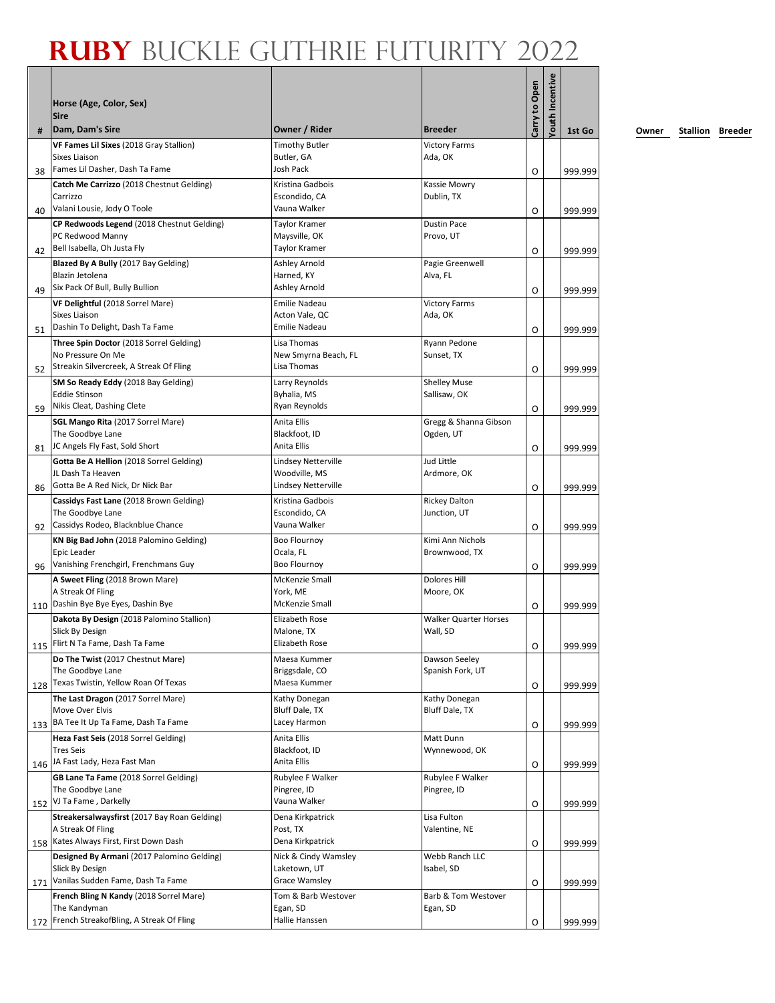|     | Horse (Age, Color, Sex)<br><b>Sire</b>                                                                       |                                                             |                                          | Carry to Open | Youth Incentive |                    |
|-----|--------------------------------------------------------------------------------------------------------------|-------------------------------------------------------------|------------------------------------------|---------------|-----------------|--------------------|
| #   | Dam, Dam's Sire                                                                                              | Owner / Rider                                               | <b>Breeder</b>                           |               |                 | 1st Go             |
| 38  | VF Fames Lil Sixes (2018 Gray Stallion)<br>Sixes Liaison<br>Fames Lil Dasher, Dash Ta Fame                   | <b>Timothy Butler</b><br>Butler, GA<br>Josh Pack            | <b>Victory Farms</b><br>Ada, OK          | O             |                 | 999.999            |
| 40  | Catch Me Carrizzo (2018 Chestnut Gelding)<br>Carrizzo<br>Valani Lousie, Jody O Toole                         | Kristina Gadbois<br>Escondido, CA<br>Vauna Walker           | Kassie Mowry<br>Dublin, TX               | O             |                 | 999.999            |
| 42  | CP Redwoods Legend (2018 Chestnut Gelding)<br>PC Redwood Manny<br>Bell Isabella, Oh Justa Fly                | <b>Taylor Kramer</b><br>Maysville, OK<br>Taylor Kramer      | <b>Dustin Pace</b><br>Provo, UT          | O             |                 | 999.999            |
| 49  | Blazed By A Bully (2017 Bay Gelding)<br>Blazin Jetolena<br>Six Pack Of Bull, Bully Bullion                   | Ashley Arnold<br>Harned, KY<br>Ashley Arnold                | Pagie Greenwell<br>Alva, FL              | O             |                 | 999.999            |
| 51  | VF Delightful (2018 Sorrel Mare)<br><b>Sixes Liaison</b><br>Dashin To Delight, Dash Ta Fame                  | Emilie Nadeau<br>Acton Vale, QC<br>Emilie Nadeau            | <b>Victory Farms</b><br>Ada, OK          | O             |                 | 999.999            |
| 52  | Three Spin Doctor (2018 Sorrel Gelding)<br>No Pressure On Me<br>Streakin Silvercreek, A Streak Of Fling      | Lisa Thomas<br>New Smyrna Beach, FL<br>Lisa Thomas          | Ryann Pedone<br>Sunset, TX               | O             |                 | 999.999            |
| 59  | SM So Ready Eddy (2018 Bay Gelding)<br><b>Eddie Stinson</b><br>Nikis Cleat, Dashing Clete                    | Larry Reynolds<br>Byhalia, MS<br>Ryan Reynolds              | <b>Shelley Muse</b><br>Sallisaw, OK      | O             |                 | 999.999            |
| 81  | <b>SGL Mango Rita (2017 Sorrel Mare)</b><br>The Goodbye Lane<br>JC Angels Fly Fast, Sold Short               | Anita Ellis<br>Blackfoot, ID<br>Anita Ellis                 | Gregg & Shanna Gibson<br>Ogden, UT       | O             |                 | 999.999            |
| 86  | Gotta Be A Hellion (2018 Sorrel Gelding)<br>JL Dash Ta Heaven<br>Gotta Be A Red Nick, Dr Nick Bar            | Lindsey Netterville<br>Woodville, MS<br>Lindsey Netterville | Jud Little<br>Ardmore, OK                | O             |                 | 999.999            |
| 92  | Cassidys Fast Lane (2018 Brown Gelding)<br>The Goodbye Lane<br>Cassidys Rodeo, Blacknblue Chance             | Kristina Gadbois<br>Escondido, CA<br>Vauna Walker           | <b>Rickey Dalton</b><br>Junction, UT     | O             |                 | 999.999            |
| 96  | KN Big Bad John (2018 Palomino Gelding)<br>Epic Leader<br>Vanishing Frenchgirl, Frenchmans Guy               | <b>Boo Flournoy</b><br>Ocala, FL<br>Boo Flournoy            | Kimi Ann Nichols<br>Brownwood, TX        | 0             |                 | 999.999            |
|     | A Sweet Fling (2018 Brown Mare)<br>A Streak Of Fling<br>110 Dashin Bye Bye Eyes, Dashin Bye                  | McKenzie Small<br>York, ME<br>McKenzie Small                | <b>Dolores Hill</b><br>Moore, OK         | O             |                 | 999.999            |
|     | Dakota By Design (2018 Palomino Stallion)<br>Slick By Design<br>115 Flirt N Ta Fame, Dash Ta Fame            | Elizabeth Rose<br>Malone, TX<br>Elizabeth Rose              | <b>Walker Quarter Horses</b><br>Wall. SD | O             |                 | 999.999            |
| 128 | Do The Twist (2017 Chestnut Mare)<br>The Goodbye Lane<br>Texas Twistin, Yellow Roan Of Texas                 | Maesa Kummer<br>Briggsdale, CO<br>Maesa Kummer              | Dawson Seeley<br>Spanish Fork, UT        | O             |                 | 999.999            |
| 133 | The Last Dragon (2017 Sorrel Mare)<br>Move Over Elvis<br>BA Tee It Up Ta Fame, Dash Ta Fame                  | Kathy Donegan<br>Bluff Dale, TX<br>Lacey Harmon             | Kathy Donegan<br>Bluff Dale, TX          | O             |                 | 999.999            |
|     | Heza Fast Seis (2018 Sorrel Gelding)<br><b>Tres Seis</b><br>146 JA Fast Lady, Heza Fast Man                  | Anita Ellis<br>Blackfoot, ID<br>Anita Ellis                 | Matt Dunn<br>Wynnewood, OK               | O             |                 | 999.999            |
|     | GB Lane Ta Fame (2018 Sorrel Gelding)<br>The Goodbye Lane<br>152 VJ Ta Fame, Darkelly                        | Rubylee F Walker<br>Pingree, ID<br>Vauna Walker             | Rubylee F Walker<br>Pingree, ID          | O             |                 | 999.999            |
|     | Streakersalwaysfirst (2017 Bay Roan Gelding)<br>A Streak Of Fling<br>158 Kates Always First, First Down Dash | Dena Kirkpatrick<br>Post, TX<br>Dena Kirkpatrick            | Lisa Fulton<br>Valentine, NE             | O             |                 | 999.999            |
| 171 | Designed By Armani (2017 Palomino Gelding)<br>Slick By Design<br>Vanilas Sudden Fame, Dash Ta Fame           | Nick & Cindy Wamsley<br>Laketown, UT<br>Grace Wamsley       | Webb Ranch LLC<br>Isabel, SD             | O             |                 |                    |
| 172 | French Bling N Kandy (2018 Sorrel Mare)<br>The Kandyman<br>French StreakofBling, A Streak Of Fling           | Tom & Barb Westover<br>Egan, SD<br>Hallie Hanssen           | Barb & Tom Westover<br>Egan, SD          | O             |                 | 999.999<br>999.999 |
|     |                                                                                                              |                                                             |                                          |               |                 |                    |